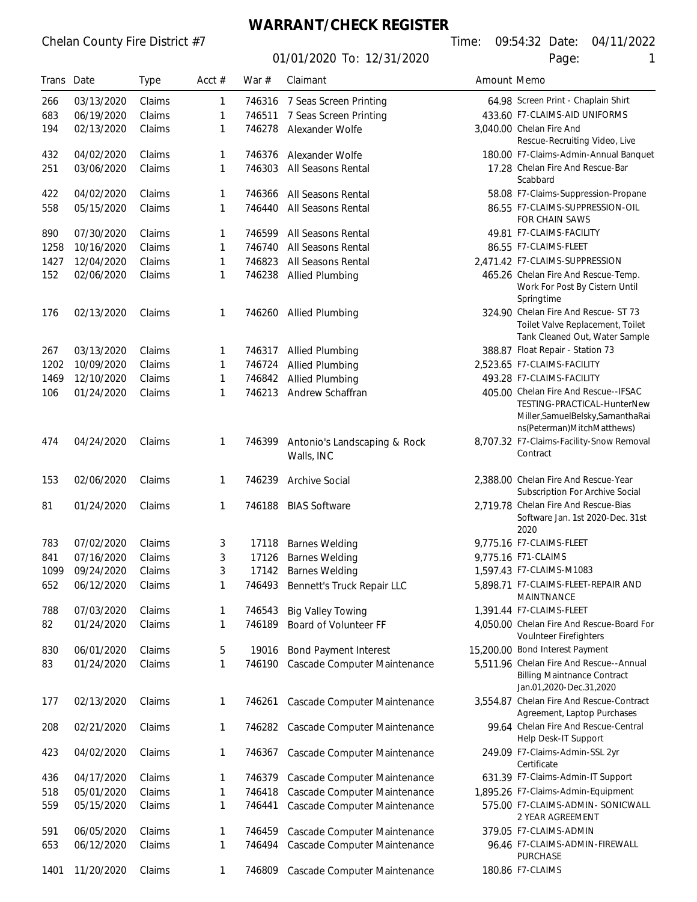# **WARRANT/CHECK REGISTER**

01/01/2020 To: 12/31/2020 Page: 1

Chelan County Fire District #7 Time: 09:54:32 Date: 04/11/2022

| Trans Date |            | <b>Type</b> | Acct $#$ | War $#$ | Claimant                                   | Amount Memo |                                                                                                                                          |
|------------|------------|-------------|----------|---------|--------------------------------------------|-------------|------------------------------------------------------------------------------------------------------------------------------------------|
| 266        | 03/13/2020 | Claims      | 1        | 746316  | 7 Seas Screen Printing                     |             | 64.98 Screen Print - Chaplain Shirt                                                                                                      |
| 683        | 06/19/2020 | Claims      | 1        | 746511  | 7 Seas Screen Printing                     |             | 433.60 F7-CLAIMS-AID UNIFORMS                                                                                                            |
| 194        | 02/13/2020 | Claims      | 1        | 746278  | Alexander Wolfe                            |             | 3,040.00 Chelan Fire And<br>Rescue-Recruiting Video, Live                                                                                |
| 432        | 04/02/2020 | Claims      | 1        | 746376  | Alexander Wolfe                            |             | 180.00 F7-Claims-Admin-Annual Banquet                                                                                                    |
| 251        | 03/06/2020 | Claims      | 1        | 746303  | All Seasons Rental                         |             | 17.28 Chelan Fire And Rescue-Bar<br>Scabbard                                                                                             |
| 422        | 04/02/2020 | Claims      | 1        | 746366  | All Seasons Rental                         |             | 58.08 F7-Claims-Suppression-Propane                                                                                                      |
| 558        | 05/15/2020 | Claims      | 1        | 746440  | All Seasons Rental                         |             | 86.55 F7-CLAIMS-SUPPRESSION-OIL<br>FOR CHAIN SAWS                                                                                        |
| 890        | 07/30/2020 | Claims      | 1        | 746599  | All Seasons Rental                         |             | 49.81 F7-CLAIMS-FACILITY                                                                                                                 |
| 1258       | 10/16/2020 | Claims      | 1        | 746740  | All Seasons Rental                         |             | 86.55 F7-CLAIMS-FLEET                                                                                                                    |
| 1427       | 12/04/2020 | Claims      | 1        | 746823  | All Seasons Rental                         |             | 2,471.42 F7-CLAIMS-SUPPRESSION                                                                                                           |
| 152        | 02/06/2020 | Claims      | 1        | 746238  | <b>Allied Plumbing</b>                     |             | 465.26 Chelan Fire And Rescue-Temp.<br>Work For Post By Cistern Until<br>Springtime                                                      |
| 176        | 02/13/2020 | Claims      | 1        |         | 746260 Allied Plumbing                     |             | 324.90 Chelan Fire And Rescue- ST 73<br>Toilet Valve Replacement, Toilet<br>Tank Cleaned Out, Water Sample                               |
| 267        | 03/13/2020 | Claims      | 1        | 746317  | <b>Allied Plumbing</b>                     |             | 388.87 Float Repair - Station 73                                                                                                         |
| 1202       | 10/09/2020 | Claims      | 1        | 746724  | <b>Allied Plumbing</b>                     |             | 2,523.65 F7-CLAIMS-FACILITY                                                                                                              |
| 1469       | 12/10/2020 | Claims      | 1        | 746842  | Allied Plumbing                            |             | 493.28 F7-CLAIMS-FACILITY                                                                                                                |
| 106        | 01/24/2020 | Claims      | 1        | 746213  | Andrew Schaffran                           |             | 405.00 Chelan Fire And Rescue--IFSAC<br>TESTING-PRACTICAL-HunterNew<br>Miller, Samuel Belsky, Samantha Rai<br>ns(Peterman)MitchMatthews) |
| 474        | 04/24/2020 | Claims      | 1        | 746399  | Antonio's Landscaping & Rock<br>Walls, INC |             | 8,707.32 F7-Claims-Facility-Snow Removal<br>Contract                                                                                     |
| 153        | 02/06/2020 | Claims      | 1        | 746239  | <b>Archive Social</b>                      |             | 2,388.00 Chelan Fire And Rescue-Year<br>Subscription For Archive Social                                                                  |
| 81         | 01/24/2020 | Claims      | 1        | 746188  | <b>BIAS Software</b>                       |             | 2.719.78 Chelan Fire And Rescue-Bias<br>Software Jan. 1st 2020-Dec. 31st<br>2020                                                         |
| 783        | 07/02/2020 | Claims      | 3        | 17118   | <b>Barnes Welding</b>                      |             | 9,775.16 F7-CLAIMS-FLEET                                                                                                                 |
| 841        | 07/16/2020 | Claims      | 3        | 17126   | <b>Barnes Welding</b>                      |             | 9,775.16 F71-CLAIMS                                                                                                                      |
| 1099       | 09/24/2020 | Claims      | 3        |         | 17142 Barnes Welding                       |             | 1,597.43 F7-CLAIMS-M1083                                                                                                                 |
| 652        | 06/12/2020 | Claims      | 1        | 746493  | Bennett's Truck Repair LLC                 |             | 5,898.71 F7-CLAIMS-FLEET-REPAIR AND<br>MAINTNANCE                                                                                        |
| 788        | 07/03/2020 | Claims      | 1        | 746543  | <b>Big Valley Towing</b>                   |             | 1,391.44 F7-CLAIMS-FLEET                                                                                                                 |
| 82         | 01/24/2020 | Claims      | 1        | 746189  | Board of Volunteer FF                      |             | 4,050.00 Chelan Fire And Rescue-Board For<br>Voulnteer Firefighters                                                                      |
| 830        | 06/01/2020 | Claims      | 5        | 19016   | <b>Bond Payment Interest</b>               |             | 15,200.00 Bond Interest Payment                                                                                                          |
| 83         | 01/24/2020 | Claims      | 1        | 746190  | Cascade Computer Maintenance               |             | 5,511.96 Chelan Fire And Rescue--Annual<br><b>Billing Maintnance Contract</b><br>Jan.01,2020-Dec.31,2020                                 |
| 177        | 02/13/2020 | Claims      | 1        | 746261  | Cascade Computer Maintenance               |             | 3,554.87 Chelan Fire And Rescue-Contract<br>Agreement, Laptop Purchases                                                                  |
| 208        | 02/21/2020 | Claims      | 1        | 746282  | Cascade Computer Maintenance               |             | 99.64 Chelan Fire And Rescue-Central<br>Help Desk-IT Support                                                                             |
| 423        | 04/02/2020 | Claims      | 1        | 746367  | Cascade Computer Maintenance               |             | 249.09 F7-Claims-Admin-SSL 2yr<br>Certificate                                                                                            |
| 436        | 04/17/2020 | Claims      | 1        | 746379  | Cascade Computer Maintenance               |             | 631.39 F7-Claims-Admin-IT Support                                                                                                        |
| 518        | 05/01/2020 | Claims      | 1        | 746418  | Cascade Computer Maintenance               |             | 1,895.26 F7-Claims-Admin-Equipment                                                                                                       |
| 559        | 05/15/2020 | Claims      | 1        | 746441  | Cascade Computer Maintenance               |             | 575.00 F7-CLAIMS-ADMIN- SONICWALL<br>2 YEAR AGREEMENT                                                                                    |
| 591        | 06/05/2020 | Claims      | 1        | 746459  | Cascade Computer Maintenance               |             | 379.05 F7-CLAIMS-ADMIN                                                                                                                   |
| 653        | 06/12/2020 | Claims      | 1        | 746494  | Cascade Computer Maintenance               |             | 96.46 F7-CLAIMS-ADMIN-FIREWALL<br><b>PURCHASE</b>                                                                                        |
| 1401       | 11/20/2020 | Claims      | 1        | 746809  | Cascade Computer Maintenance               |             | 180.86 F7-CLAIMS                                                                                                                         |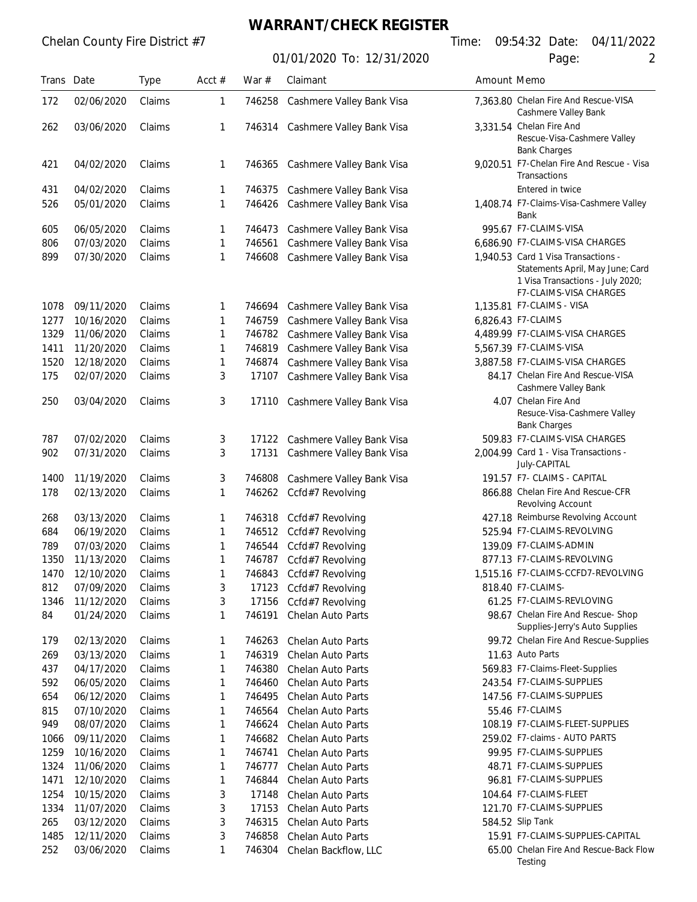**WARRANT/CHECK REGISTER**

| Trans Date |            | <b>Type</b> | Acct $#$ | War $#$ | Claimant                         | Amount Memo |                                                                                                                                       |
|------------|------------|-------------|----------|---------|----------------------------------|-------------|---------------------------------------------------------------------------------------------------------------------------------------|
| 172        | 02/06/2020 | Claims      | 1        | 746258  | Cashmere Valley Bank Visa        |             | 7,363.80 Chelan Fire And Rescue-VISA<br>Cashmere Valley Bank                                                                          |
| 262        | 03/06/2020 | Claims      | 1        |         | 746314 Cashmere Valley Bank Visa |             | 3,331.54 Chelan Fire And<br>Rescue-Visa-Cashmere Valley<br><b>Bank Charges</b>                                                        |
| 421        | 04/02/2020 | Claims      | 1        | 746365  | Cashmere Valley Bank Visa        |             | 9,020.51 F7-Chelan Fire And Rescue - Visa<br>Transactions                                                                             |
| 431        | 04/02/2020 | Claims      | 1        | 746375  | Cashmere Valley Bank Visa        |             | Entered in twice                                                                                                                      |
| 526        | 05/01/2020 | Claims      | 1        | 746426  | Cashmere Valley Bank Visa        |             | 1,408.74 F7-Claims-Visa-Cashmere Valley<br>Bank                                                                                       |
| 605        | 06/05/2020 | Claims      | 1        | 746473  | Cashmere Valley Bank Visa        |             | 995.67 F7-CLAIMS-VISA                                                                                                                 |
| 806        | 07/03/2020 | Claims      | 1        | 746561  | Cashmere Valley Bank Visa        |             | 6,686.90 F7-CLAIMS-VISA CHARGES                                                                                                       |
| 899        | 07/30/2020 | Claims      | 1        | 746608  | Cashmere Valley Bank Visa        |             | 1,940.53 Card 1 Visa Transactions -<br>Statements April, May June; Card<br>1 Visa Transactions - July 2020;<br>F7-CLAIMS-VISA CHARGES |
| 1078       | 09/11/2020 | Claims      | 1        | 746694  | Cashmere Valley Bank Visa        |             | 1,135.81 F7-CLAIMS - VISA                                                                                                             |
| 1277       | 10/16/2020 | Claims      | 1        | 746759  | Cashmere Valley Bank Visa        |             | 6,826.43 F7-CLAIMS                                                                                                                    |
| 1329       | 11/06/2020 | Claims      | 1        | 746782  | Cashmere Valley Bank Visa        |             | 4,489.99 F7-CLAIMS-VISA CHARGES                                                                                                       |
| 1411       | 11/20/2020 | Claims      | 1        | 746819  | Cashmere Valley Bank Visa        |             | 5,567.39 F7-CLAIMS-VISA                                                                                                               |
| 1520       | 12/18/2020 | Claims      | 1        | 746874  | Cashmere Valley Bank Visa        |             | 3,887.58 F7-CLAIMS-VISA CHARGES                                                                                                       |
| 175        | 02/07/2020 | Claims      | 3        | 17107   | Cashmere Valley Bank Visa        |             | 84.17 Chelan Fire And Rescue-VISA<br>Cashmere Valley Bank                                                                             |
| 250        | 03/04/2020 | Claims      | 3        |         | 17110 Cashmere Valley Bank Visa  |             | 4.07 Chelan Fire And<br>Resuce-Visa-Cashmere Valley<br><b>Bank Charges</b>                                                            |
| 787        | 07/02/2020 | Claims      | 3        | 17122   | Cashmere Valley Bank Visa        |             | 509.83 F7-CLAIMS-VISA CHARGES                                                                                                         |
| 902        | 07/31/2020 | Claims      | 3        | 17131   | Cashmere Valley Bank Visa        |             | 2,004.99 Card 1 - Visa Transactions -<br>July-CAPITAL                                                                                 |
| 1400       | 11/19/2020 | Claims      | 3        | 746808  | Cashmere Valley Bank Visa        |             | 191.57 F7- CLAIMS - CAPITAL                                                                                                           |
| 178        | 02/13/2020 | Claims      | 1        | 746262  | Ccfd#7 Revolving                 |             | 866.88 Chelan Fire And Rescue-CFR<br>Revolving Account                                                                                |
| 268        | 03/13/2020 | Claims      | 1        | 746318  | Ccfd#7 Revolving                 |             | 427.18 Reimburse Revolving Account                                                                                                    |
| 684        | 06/19/2020 | Claims      | 1        | 746512  | Ccfd#7 Revolving                 |             | 525.94 F7-CLAIMS-REVOLVING                                                                                                            |
| 789        | 07/03/2020 | Claims      | 1        | 746544  | Ccfd#7 Revolving                 |             | 139.09 F7-CLAIMS-ADMIN                                                                                                                |
| 1350       | 11/13/2020 | Claims      | 1        | 746787  | Ccfd#7 Revolving                 |             | 877.13 F7-CLAIMS-REVOLVING                                                                                                            |
| 1470       | 12/10/2020 | Claims      | 1        | 746843  | Ccfd#7 Revolving                 |             | 1,515.16 F7-CLAIMS-CCFD7-REVOLVING                                                                                                    |
| 812        | 07/09/2020 | Claims      | 3        |         | 17123 Ccfd#7 Revolving           |             | 818.40 F7-CLAIMS-                                                                                                                     |
| 1346       | 11/12/2020 | Claims      | 3        | 17156   | Ccfd#7 Revolving                 |             | 61.25 F7-CLAIMS-REVLOVING                                                                                                             |
| 84         | 01/24/2020 | Claims      | 1        | 746191  | Chelan Auto Parts                |             | 98.67 Chelan Fire And Rescue- Shop<br>Supplies-Jerry's Auto Supplies                                                                  |
| 179        | 02/13/2020 | Claims      | 1        | 746263  | Chelan Auto Parts                |             | 99.72 Chelan Fire And Rescue-Supplies                                                                                                 |
| 269        | 03/13/2020 | Claims      | 1        | 746319  | Chelan Auto Parts                |             | 11.63 Auto Parts                                                                                                                      |
| 437        | 04/17/2020 | Claims      | 1        | 746380  | Chelan Auto Parts                |             | 569.83 F7-Claims-Fleet-Supplies                                                                                                       |
| 592        | 06/05/2020 | Claims      | 1        | 746460  | <b>Chelan Auto Parts</b>         |             | 243.54 F7-CLAIMS-SUPPLIES                                                                                                             |
| 654        | 06/12/2020 | Claims      | 1        | 746495  | Chelan Auto Parts                |             | 147.56 F7-CLAIMS-SUPPLIES                                                                                                             |
| 815        | 07/10/2020 | Claims      | 1        | 746564  | Chelan Auto Parts                |             | 55.46 F7-CLAIMS                                                                                                                       |
| 949        | 08/07/2020 | Claims      | 1        | 746624  | Chelan Auto Parts                |             | 108.19 F7-CLAIMS-FLEET-SUPPLIES                                                                                                       |
| 1066       | 09/11/2020 | Claims      | 1        | 746682  | Chelan Auto Parts                |             | 259.02 F7-claims - AUTO PARTS                                                                                                         |
| 1259       | 10/16/2020 | Claims      | 1        | 746741  | Chelan Auto Parts                |             | 99.95 F7-CLAIMS-SUPPLIES                                                                                                              |
| 1324       | 11/06/2020 | Claims      | 1        | 746777  | Chelan Auto Parts                |             | 48.71 F7-CLAIMS-SUPPLIES                                                                                                              |
| 1471       | 12/10/2020 | Claims      | 1        | 746844  | Chelan Auto Parts                |             | 96.81 F7-CLAIMS-SUPPLIES                                                                                                              |
| 1254       | 10/15/2020 | Claims      | 3        | 17148   | Chelan Auto Parts                |             | 104.64 F7-CLAIMS-FLEET                                                                                                                |
| 1334       | 11/07/2020 | Claims      | 3        | 17153   | Chelan Auto Parts                |             | 121.70 F7-CLAIMS-SUPPLIES                                                                                                             |
| 265        | 03/12/2020 | Claims      | 3        | 746315  | Chelan Auto Parts                |             | 584.52 Slip Tank                                                                                                                      |
| 1485       | 12/11/2020 | Claims      | 3        | 746858  | Chelan Auto Parts                |             | 15.91 F7-CLAIMS-SUPPLIES-CAPITAL                                                                                                      |
| 252        | 03/06/2020 | Claims      | 1        | 746304  | Chelan Backflow, LLC             |             | 65.00 Chelan Fire And Rescue-Back Flow<br>Testing                                                                                     |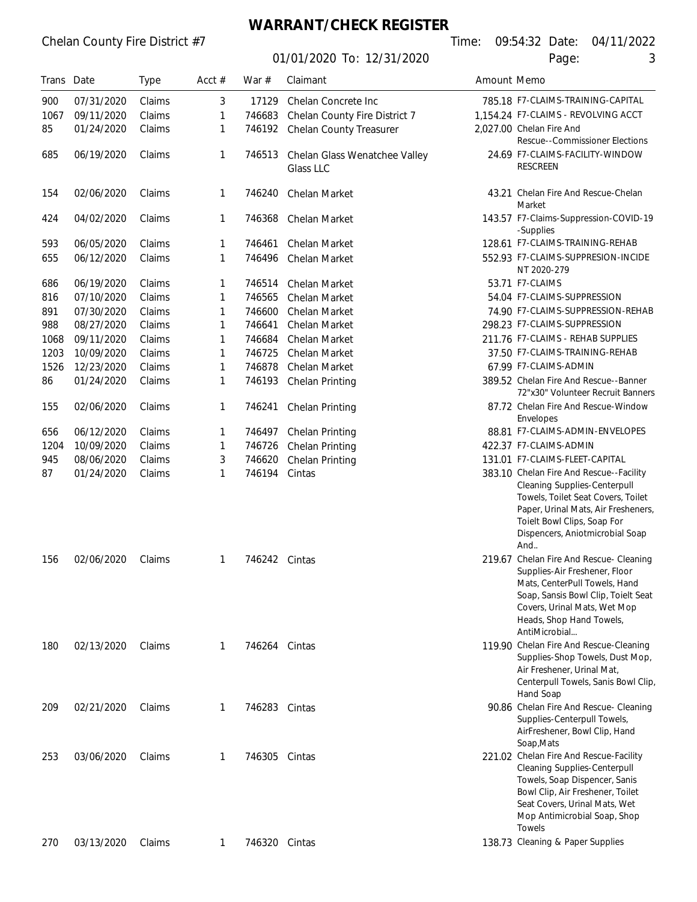#### **WARRANT/CHECK REGISTER**

01/01/2020 To: 12/31/2020 **Page:** 

Chelan County Fire District #7 Time: 09:54:32 Date: 04/11/2022

| Trans Date |            | <b>Type</b> | Acct $#$ | War $#$       | Claimant                                   | Amount Memo |                                                                                                                                                                                                                                      |
|------------|------------|-------------|----------|---------------|--------------------------------------------|-------------|--------------------------------------------------------------------------------------------------------------------------------------------------------------------------------------------------------------------------------------|
| 900        | 07/31/2020 | Claims      | 3        | 17129         | Chelan Concrete Inc                        |             | 785.18 F7-CLAIMS-TRAINING-CAPITAL                                                                                                                                                                                                    |
| 1067       | 09/11/2020 | Claims      | 1        | 746683        | Chelan County Fire District 7              |             | 1,154.24 F7-CLAIMS - REVOLVING ACCT                                                                                                                                                                                                  |
| 85         | 01/24/2020 | Claims      | 1        | 746192        | Chelan County Treasurer                    |             | 2,027.00 Chelan Fire And<br><b>Rescue--Commissioner Elections</b>                                                                                                                                                                    |
| 685        | 06/19/2020 | Claims      | 1        | 746513        | Chelan Glass Wenatchee Valley<br>Glass LLC |             | 24.69 F7-CLAIMS-FACILITY-WINDOW<br><b>RESCREEN</b>                                                                                                                                                                                   |
| 154        | 02/06/2020 | Claims      | 1        | 746240        | Chelan Market                              |             | 43.21 Chelan Fire And Rescue-Chelan<br>Market                                                                                                                                                                                        |
| 424        | 04/02/2020 | Claims      | 1        | 746368        | Chelan Market                              |             | 143.57 F7-Claims-Suppression-COVID-19<br>-Supplies                                                                                                                                                                                   |
| 593        | 06/05/2020 | Claims      | 1        | 746461        | Chelan Market                              |             | 128.61 F7-CLAIMS-TRAINING-REHAB                                                                                                                                                                                                      |
| 655        | 06/12/2020 | Claims      | 1        | 746496        | Chelan Market                              |             | 552.93 F7-CLAIMS-SUPPRESION-INCIDE<br>NT 2020-279                                                                                                                                                                                    |
| 686        | 06/19/2020 | Claims      | 1        | 746514        | Chelan Market                              |             | 53.71 F7-CLAIMS                                                                                                                                                                                                                      |
| 816        | 07/10/2020 | Claims      | 1        | 746565        | Chelan Market                              |             | 54.04 F7-CLAIMS-SUPPRESSION                                                                                                                                                                                                          |
| 891        | 07/30/2020 | Claims      | 1        | 746600        | Chelan Market                              |             | 74.90 F7-CLAIMS-SUPPRESSION-REHAB                                                                                                                                                                                                    |
| 988        | 08/27/2020 | Claims      | 1        | 746641        | Chelan Market                              |             | 298.23 F7-CLAIMS-SUPPRESSION                                                                                                                                                                                                         |
| 1068       | 09/11/2020 | Claims      | 1        | 746684        | Chelan Market                              |             | 211.76 F7-CLAIMS - REHAB SUPPLIES                                                                                                                                                                                                    |
| 1203       | 10/09/2020 | Claims      | 1        | 746725        | Chelan Market                              |             | 37.50 F7-CLAIMS-TRAINING-REHAB                                                                                                                                                                                                       |
| 1526       | 12/23/2020 | Claims      |          | 746878        | Chelan Market                              |             | 67.99 F7-CLAIMS-ADMIN                                                                                                                                                                                                                |
|            |            |             | 1        |               |                                            |             |                                                                                                                                                                                                                                      |
| 86         | 01/24/2020 | Claims      | 1        | 746193        | Chelan Printing                            |             | 389.52 Chelan Fire And Rescue--Banner<br>72"x30" Volunteer Recruit Banners                                                                                                                                                           |
| 155        | 02/06/2020 | Claims      | 1        | 746241        | <b>Chelan Printing</b>                     |             | 87.72 Chelan Fire And Rescue-Window<br>Envelopes                                                                                                                                                                                     |
| 656        | 06/12/2020 | Claims      | 1        | 746497        | Chelan Printing                            |             | 88.81 F7-CLAIMS-ADMIN-ENVELOPES                                                                                                                                                                                                      |
| 1204       | 10/09/2020 | Claims      | 1        | 746726        | Chelan Printing                            |             | 422.37 F7-CLAIMS-ADMIN                                                                                                                                                                                                               |
| 945        | 08/06/2020 | Claims      | 3        | 746620        | Chelan Printing                            |             | 131.01 F7-CLAIMS-FLEET-CAPITAL                                                                                                                                                                                                       |
| 87         | 01/24/2020 | Claims      | 1        | 746194        | Cintas                                     |             | 383.10 Chelan Fire And Rescue--Facility<br><b>Cleaning Supplies-Centerpull</b><br>Towels, Toilet Seat Covers, Toilet<br>Paper, Urinal Mats, Air Fresheners,<br>Toielt Bowl Clips, Soap For<br>Dispencers, Aniotmicrobial Soap<br>And |
| 156        | 02/06/2020 | Claims      | 1        | 746242 Cintas |                                            |             | 219.67 Chelan Fire And Rescue- Cleaning<br>Supplies-Air Freshener, Floor<br>Mats, CenterPull Towels, Hand<br>Soap, Sansis Bowl Clip, Toielt Seat<br>Covers, Urinal Mats, Wet Mop<br>Heads, Shop Hand Towels,<br>AntiMicrobial        |
| 180        | 02/13/2020 | Claims      | 1        | 746264 Cintas |                                            |             | 119.90 Chelan Fire And Rescue-Cleaning<br>Supplies-Shop Towels, Dust Mop,<br>Air Freshener, Urinal Mat,<br>Centerpull Towels, Sanis Bowl Clip,<br>Hand Soap                                                                          |
| 209        | 02/21/2020 | Claims      | 1        | 746283 Cintas |                                            |             | 90.86 Chelan Fire And Rescue- Cleaning<br>Supplies-Centerpull Towels,<br>AirFreshener, Bowl Clip, Hand<br>Soap, Mats                                                                                                                 |
| 253        | 03/06/2020 | Claims      | 1        | 746305        | Cintas                                     |             | 221.02 Chelan Fire And Rescue-Facility<br><b>Cleaning Supplies-Centerpull</b><br>Towels, Soap Dispencer, Sanis<br>Bowl Clip, Air Freshener, Toilet<br>Seat Covers, Urinal Mats, Wet<br>Mop Antimicrobial Soap, Shop<br>Towels        |
| 270        | 03/13/2020 | Claims      | 1        | 746320 Cintas |                                            |             | 138.73 Cleaning & Paper Supplies                                                                                                                                                                                                     |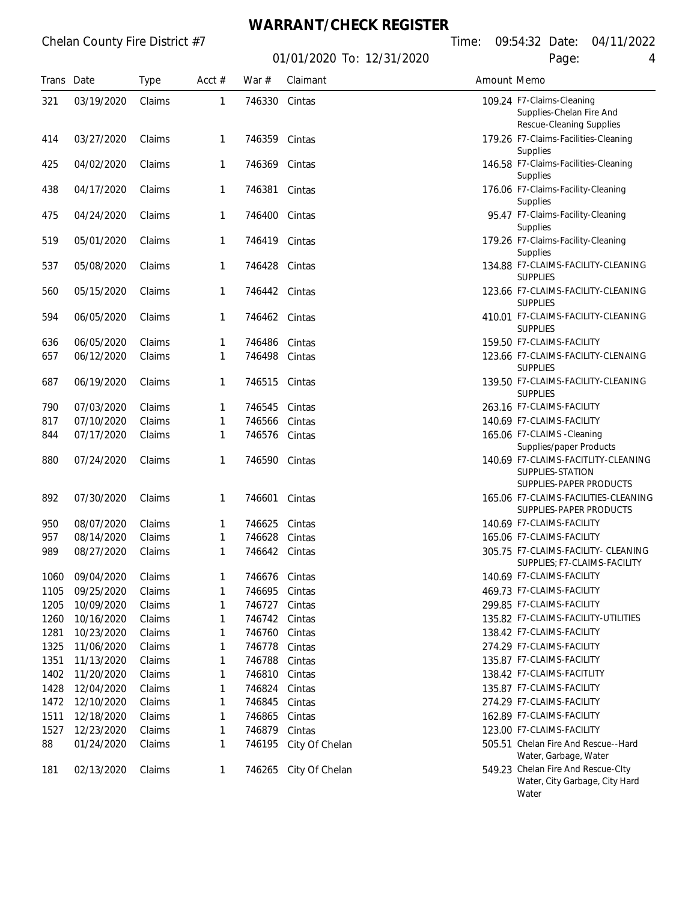## **WARRANT/CHECK REGISTER**

01/01/2020 To: 12/31/2020 **Page:** 

| Trans Date |                   | <b>Type</b> | Acct $#$ | War $#$       | Claimant       | Amount Memo |                                                                                    |
|------------|-------------------|-------------|----------|---------------|----------------|-------------|------------------------------------------------------------------------------------|
| 321        | 03/19/2020        | Claims      | 1        | 746330 Cintas |                |             | 109.24 F7-Claims-Cleaning<br>Supplies-Chelan Fire And<br>Rescue-Cleaning Supplies  |
| 414        | 03/27/2020        | Claims      | 1        | 746359        | Cintas         |             | 179.26 F7-Claims-Facilities-Cleaning<br><b>Supplies</b>                            |
| 425        | 04/02/2020        | Claims      | 1        | 746369        | Cintas         |             | 146.58 F7-Claims-Facilities-Cleaning<br>Supplies                                   |
| 438        | 04/17/2020        | Claims      | 1        | 746381        | Cintas         |             | 176.06 F7-Claims-Facility-Cleaning<br>Supplies                                     |
| 475        | 04/24/2020        | Claims      | 1        | 746400        | Cintas         |             | 95.47 F7-Claims-Facility-Cleaning<br>Supplies                                      |
| 519        | 05/01/2020        | Claims      | 1        | 746419        | Cintas         |             | 179.26 F7-Claims-Facility-Cleaning<br>Supplies                                     |
| 537        | 05/08/2020        | Claims      | 1        | 746428 Cintas |                |             | 134.88 F7-CLAIMS-FACILITY-CLEANING<br><b>SUPPLIES</b>                              |
| 560        | 05/15/2020        | Claims      | 1        | 746442 Cintas |                |             | 123.66 F7-CLAIMS-FACILITY-CLEANING<br><b>SUPPLIES</b>                              |
| 594        | 06/05/2020        | Claims      | 1        | 746462 Cintas |                |             | 410.01 F7-CLAIMS-FACILITY-CLEANING<br><b>SUPPLIES</b>                              |
| 636        | 06/05/2020        | Claims      | 1        | 746486        | Cintas         |             | 159.50 F7-CLAIMS-FACILITY                                                          |
| 657        | 06/12/2020        | Claims      | 1        | 746498        | Cintas         |             | 123.66 F7-CLAIMS-FACILITY-CLENAING<br><b>SUPPLIES</b>                              |
| 687        | 06/19/2020        | Claims      | 1        | 746515        | Cintas         |             | 139.50 F7-CLAIMS-FACILITY-CLEANING<br><b>SUPPLIES</b>                              |
| 790        | 07/03/2020        | Claims      | 1        | 746545        | Cintas         |             | 263.16 F7-CLAIMS-FACILITY                                                          |
| 817        | 07/10/2020        | Claims      | 1        | 746566        | Cintas         |             | 140.69 F7-CLAIMS-FACILITY                                                          |
| 844        | 07/17/2020        | Claims      | 1        | 746576        | Cintas         |             | 165.06 F7-CLAIMS -Cleaning<br>Supplies/paper Products                              |
| 880        | 07/24/2020        | Claims      | 1        | 746590        | Cintas         |             | 140.69 F7-CLAIMS-FACITLITY-CLEANING<br>SUPPLIES-STATION<br>SUPPLIES-PAPER PRODUCTS |
| 892        | 07/30/2020        | Claims      | 1        | 746601 Cintas |                |             | 165.06 F7-CLAIMS-FACILITIES-CLEANING<br>SUPPLIES-PAPER PRODUCTS                    |
| 950        | 08/07/2020        | Claims      | 1        | 746625        | Cintas         |             | 140.69 F7-CLAIMS-FACILITY                                                          |
| 957        | 08/14/2020        | Claims      | 1        | 746628        | Cintas         |             | 165.06 F7-CLAIMS-FACILITY                                                          |
| 989        | 08/27/2020        | Claims      | 1        | 746642        | Cintas         |             | 305.75 F7-CLAIMS-FACILITY- CLEANING<br>SUPPLIES; F7-CLAIMS-FACILITY                |
| 1060       | 09/04/2020 Claims |             | 1        | 746676 Cintas |                |             | 140.69 F7-CLAIMS-FACILITY                                                          |
| 1105       | 09/25/2020        | Claims      | 1        | 746695        | Cintas         |             | 469.73 F7-CLAIMS-FACILITY                                                          |
| 1205       | 10/09/2020        | Claims      | 1        | 746727        | Cintas         |             | 299.85 F7-CLAIMS-FACILITY                                                          |
| 1260       | 10/16/2020        | Claims      | 1        | 746742        | Cintas         |             | 135.82 F7-CLAIMS-FACILITY-UTILITIES                                                |
| 1281       | 10/23/2020        | Claims      | 1        | 746760        | Cintas         |             | 138.42 F7-CLAIMS-FACILITY                                                          |
| 1325       | 11/06/2020        | Claims      | 1        | 746778        | Cintas         |             | 274.29 F7-CLAIMS-FACILITY                                                          |
| 1351       | 11/13/2020        | Claims      | 1        | 746788        | Cintas         |             | 135.87 F7-CLAIMS-FACILITY                                                          |
| 1402       | 11/20/2020        | Claims      | 1        | 746810        | Cintas         |             | 138.42 F7-CLAIMS-FACITLITY                                                         |
| 1428       | 12/04/2020        | Claims      | 1        | 746824        | Cintas         |             | 135.87 F7-CLAIMS-FACILITY                                                          |
| 1472       | 12/10/2020        | Claims      | 1        | 746845        | Cintas         |             | 274.29 F7-CLAIMS-FACILITY                                                          |
| 1511       | 12/18/2020        | Claims      | 1        | 746865        | Cintas         |             | 162.89 F7-CLAIMS-FACILITY                                                          |
| 1527       | 12/23/2020        | Claims      | 1        | 746879        | Cintas         |             | 123.00 F7-CLAIMS-FACILITY                                                          |
| 88         | 01/24/2020        | Claims      | 1        | 746195        | City Of Chelan |             | 505.51 Chelan Fire And Rescue--Hard<br>Water, Garbage, Water                       |
| 181        | 02/13/2020        | Claims      | 1        | 746265        | City Of Chelan |             | 549.23 Chelan Fire And Rescue-Clty                                                 |

Water, City Garbage, City Hard Water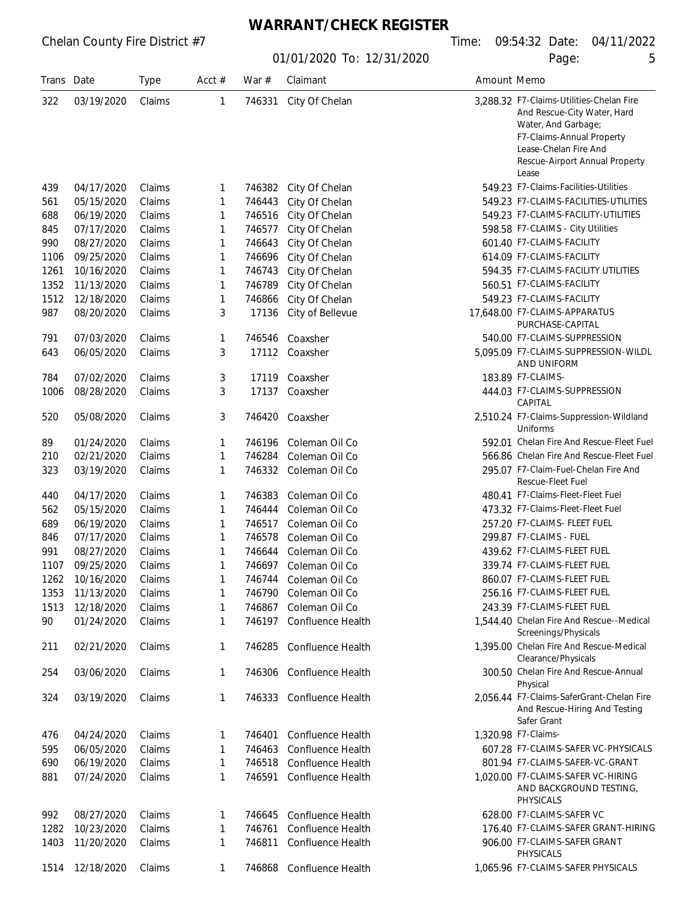## **WARRANT/CHECK REGISTER**

| Trans Date |            | <b>Type</b> | Acct # | War $#$ | Claimant                 | Amount Memo |                                                                                                                                                                                                 |
|------------|------------|-------------|--------|---------|--------------------------|-------------|-------------------------------------------------------------------------------------------------------------------------------------------------------------------------------------------------|
| 322        | 03/19/2020 | Claims      | 1      | 746331  | City Of Chelan           |             | 3.288.32 F7-Claims-Utilities-Chelan Fire<br>And Rescue-City Water, Hard<br>Water, And Garbage;<br>F7-Claims-Annual Property<br>Lease-Chelan Fire And<br>Rescue-Airport Annual Property<br>Lease |
| 439        | 04/17/2020 | Claims      | 1      | 746382  | City Of Chelan           |             | 549.23 F7-Claims-Facilities-Utilities                                                                                                                                                           |
| 561        | 05/15/2020 | Claims      | 1      | 746443  | City Of Chelan           |             | 549.23 F7-CLAIMS-FACILITIES-UTILITIES                                                                                                                                                           |
| 688        | 06/19/2020 | Claims      | 1      | 746516  | City Of Chelan           |             | 549.23 F7-CLAIMS-FACILITY-UTILITIES                                                                                                                                                             |
| 845        | 07/17/2020 | Claims      | 1      | 746577  | City Of Chelan           |             | 598.58 F7-CLAIMS - City Utilities                                                                                                                                                               |
| 990        | 08/27/2020 | Claims      | 1      | 746643  | City Of Chelan           |             | 601.40 F7-CLAIMS-FACILITY                                                                                                                                                                       |
| 1106       | 09/25/2020 | Claims      | 1      | 746696  | City Of Chelan           |             | 614.09 F7-CLAIMS-FACILITY                                                                                                                                                                       |
| 1261       | 10/16/2020 | Claims      | 1      | 746743  | City Of Chelan           |             | 594.35 F7-CLAIMS-FACILITY UTILITIES                                                                                                                                                             |
| 1352       | 11/13/2020 | Claims      | 1      | 746789  | City Of Chelan           |             | 560.51 F7-CLAIMS-FACILITY                                                                                                                                                                       |
| 1512       | 12/18/2020 | Claims      | 1      | 746866  | City Of Chelan           |             | 549.23 F7-CLAIMS-FACILITY                                                                                                                                                                       |
| 987        | 08/20/2020 | Claims      | 3      | 17136   | City of Bellevue         |             | 17,648.00 F7-CLAIMS-APPARATUS<br>PURCHASE-CAPITAL                                                                                                                                               |
| 791        | 07/03/2020 | Claims      | 1      | 746546  | Coaxsher                 |             | 540.00 F7-CLAIMS-SUPPRESSION                                                                                                                                                                    |
| 643        | 06/05/2020 | Claims      | 3      | 17112   | Coaxsher                 |             | 5.095.09 F7-CLAIMS-SUPPRESSION-WILDL<br>AND UNIFORM                                                                                                                                             |
| 784        | 07/02/2020 | Claims      | 3      | 17119   | Coaxsher                 |             | 183.89 F7-CLAIMS-                                                                                                                                                                               |
| 1006       | 08/28/2020 | Claims      | 3      | 17137   | Coaxsher                 |             | 444.03 F7-CLAIMS-SUPPRESSION<br>CAPITAL                                                                                                                                                         |
| 520        | 05/08/2020 | Claims      | 3      | 746420  | Coaxsher                 |             | 2,510.24 F7-Claims-Suppression-Wildland<br>Uniforms                                                                                                                                             |
| 89         | 01/24/2020 | Claims      | 1      | 746196  | Coleman Oil Co           |             | 592.01 Chelan Fire And Rescue-Fleet Fuel                                                                                                                                                        |
| 210        | 02/21/2020 | Claims      | 1      | 746284  | Coleman Oil Co           |             | 566.86 Chelan Fire And Rescue-Fleet Fuel                                                                                                                                                        |
| 323        | 03/19/2020 | Claims      | 1      | 746332  | Coleman Oil Co           |             | 295.07 F7-Claim-Fuel-Chelan Fire And<br>Rescue-Fleet Fuel                                                                                                                                       |
| 440        | 04/17/2020 | Claims      | 1      | 746383  | Coleman Oil Co           |             | 480.41 F7-Claims-Fleet-Fleet Fuel                                                                                                                                                               |
| 562        | 05/15/2020 | Claims      | 1      | 746444  | Coleman Oil Co           |             | 473.32 F7-Claims-Fleet-Fleet Fuel                                                                                                                                                               |
| 689        | 06/19/2020 | Claims      | 1      | 746517  | Coleman Oil Co           |             | 257.20 F7-CLAIMS- FLEET FUEL                                                                                                                                                                    |
| 846        | 07/17/2020 | Claims      | 1      | 746578  | Coleman Oil Co           |             | 299.87 F7-CLAIMS - FUEL                                                                                                                                                                         |
| 991        | 08/27/2020 | Claims      | 1      | 746644  | Coleman Oil Co           |             | 439.62 F7-CLAIMS-FLEET FUEL                                                                                                                                                                     |
| 1107       | 09/25/2020 | Claims      | 1      | 746697  | Coleman Oil Co           |             | 339.74 F7-CLAIMS-FLEET FUEL                                                                                                                                                                     |
| 1262       | 10/16/2020 | Claims      | 1      |         | 746744 Coleman Oil Co    |             | 860.07 F7-CLAIMS-FLEET FUEL                                                                                                                                                                     |
| 1353       | 11/13/2020 | Claims      | 1      | 746790  | Coleman Oil Co           |             | 256.16 F7-CLAIMS-FLEET FUEL                                                                                                                                                                     |
| 1513       | 12/18/2020 | Claims      | 1      | 746867  | Coleman Oil Co           |             | 243.39 F7-CLAIMS-FLEET FUEL                                                                                                                                                                     |
| 90         | 01/24/2020 | Claims      | 1      | 746197  | <b>Confluence Health</b> |             | 1.544.40 Chelan Fire And Rescue--Medical<br>Screenings/Physicals                                                                                                                                |
| 211        | 02/21/2020 | Claims      | 1      | 746285  | Confluence Health        |             | 1.395.00 Chelan Fire And Rescue-Medical<br>Clearance/Physicals                                                                                                                                  |
| 254        | 03/06/2020 | Claims      | 1      | 746306  | Confluence Health        |             | 300.50 Chelan Fire And Rescue-Annual<br>Physical                                                                                                                                                |
| 324        | 03/19/2020 | Claims      | 1      | 746333  | Confluence Health        |             | 2.056.44 F7-Claims-SaferGrant-Chelan Fire<br>And Rescue-Hiring And Testing<br>Safer Grant                                                                                                       |
| 476        | 04/24/2020 | Claims      | 1      | 746401  | Confluence Health        |             | 1,320.98 F7-Claims-                                                                                                                                                                             |
| 595        | 06/05/2020 | Claims      | 1      | 746463  | Confluence Health        |             | 607.28 F7-CLAIMS-SAFER VC-PHYSICALS                                                                                                                                                             |
| 690        | 06/19/2020 | Claims      | 1      | 746518  | Confluence Health        |             | 801.94 F7-CLAIMS-SAFER-VC-GRANT                                                                                                                                                                 |
| 881        | 07/24/2020 | Claims      | 1      | 746591  | Confluence Health        |             | 1,020.00 F7-CLAIMS-SAFER VC-HIRING<br>AND BACKGROUND TESTING,<br>PHYSICALS                                                                                                                      |
| 992        | 08/27/2020 | Claims      | 1      | 746645  | Confluence Health        |             | 628.00 F7-CLAIMS-SAFER VC                                                                                                                                                                       |
| 1282       | 10/23/2020 | Claims      | 1      | 746761  | Confluence Health        |             | 176.40 F7-CLAIMS-SAFER GRANT-HIRING                                                                                                                                                             |
| 1403       | 11/20/2020 | Claims      | 1      | 746811  | Confluence Health        |             | 906.00 F7-CLAIMS-SAFER GRANT<br>PHYSICALS                                                                                                                                                       |
| 1514       | 12/18/2020 | Claims      | 1      | 746868  | Confluence Health        |             | 1,065.96 F7-CLAIMS-SAFER PHYSICALS                                                                                                                                                              |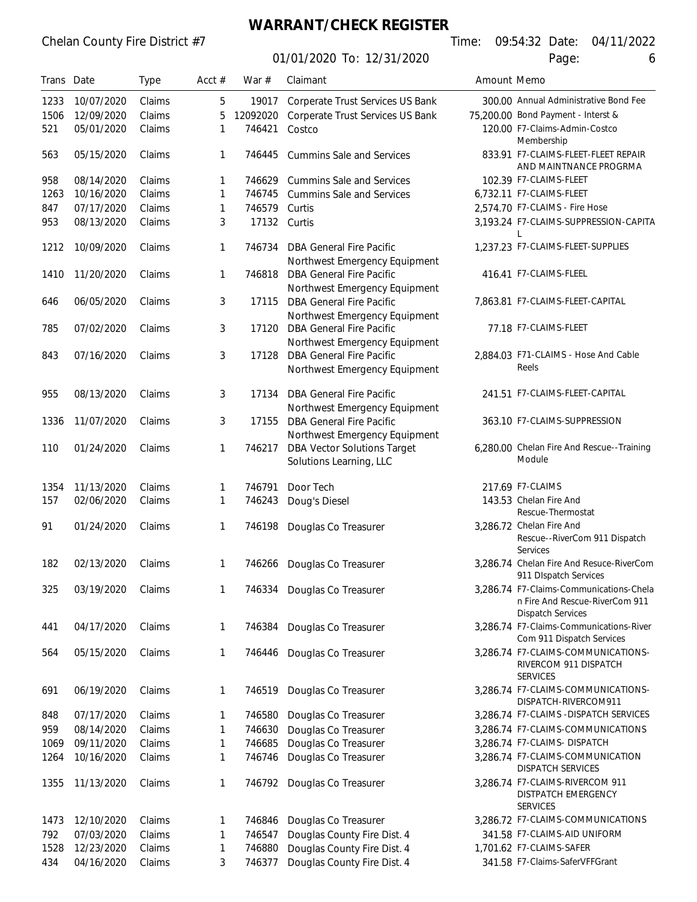#### **WARRANT/CHECK REGISTER**

01/01/2020 To: 12/31/2020 **Page:** 6

|       |            |             |              |          | 1/2020 TO: 12/31/2020                                            |             | ı uyu.                                                                                                |
|-------|------------|-------------|--------------|----------|------------------------------------------------------------------|-------------|-------------------------------------------------------------------------------------------------------|
| Trans | Date       | <b>Type</b> | Acct $#$     | War $#$  | Claimant                                                         | Amount Memo |                                                                                                       |
| 1233  | 10/07/2020 | Claims      | 5            | 19017    | Corperate Trust Services US Bank                                 |             | 300.00 Annual Administrative Bond Fee                                                                 |
| 1506  | 12/09/2020 | Claims      | 5            | 12092020 | Corperate Trust Services US Bank                                 |             | 75,200.00 Bond Payment - Interst &                                                                    |
| 521   | 05/01/2020 | Claims      | 1            | 746421   | Costco                                                           |             | 120.00 F7-Claims-Admin-Costco<br>Membership                                                           |
| 563   | 05/15/2020 | Claims      | $\mathbf{1}$ | 746445   | <b>Cummins Sale and Services</b>                                 |             | 833.91 F7-CLAIMS-FLEET-FLEET REPAIR<br>AND MAINTNANCE PROGRMA                                         |
| 958   | 08/14/2020 | Claims      | 1            | 746629   | <b>Cummins Sale and Services</b>                                 |             | 102.39 F7-CLAIMS-FLEET                                                                                |
| 1263  | 10/16/2020 | Claims      | 1            | 746745   | <b>Cummins Sale and Services</b>                                 |             | 6,732.11 F7-CLAIMS-FLEET                                                                              |
| 847   | 07/17/2020 | Claims      | 1            | 746579   | Curtis                                                           |             | 2,574.70 F7-CLAIMS - Fire Hose                                                                        |
| 953   | 08/13/2020 | Claims      | 3            | 17132    | Curtis                                                           |             | 3,193.24 F7-CLAIMS-SUPPRESSION-CAPITA                                                                 |
| 1212  | 10/09/2020 | Claims      | 1            | 746734   | <b>DBA General Fire Pacific</b><br>Northwest Emergency Equipment |             | 1,237.23 F7-CLAIMS-FLEET-SUPPLIES                                                                     |
| 1410  | 11/20/2020 | Claims      | 1            | 746818   | <b>DBA General Fire Pacific</b><br>Northwest Emergency Equipment |             | 416.41 F7-CLAIMS-FLEEL                                                                                |
| 646   | 06/05/2020 | Claims      | 3            | 17115    | <b>DBA General Fire Pacific</b><br>Northwest Emergency Equipment |             | 7,863.81 F7-CLAIMS-FLEET-CAPITAL                                                                      |
| 785   | 07/02/2020 | Claims      | 3            | 17120    | <b>DBA General Fire Pacific</b>                                  |             | 77.18 F7-CLAIMS-FLEET                                                                                 |
|       | 07/16/2020 | Claims      | 3            | 17128    | Northwest Emergency Equipment<br><b>DBA General Fire Pacific</b> |             | 2,884.03 F71-CLAIMS - Hose And Cable                                                                  |
| 843   |            |             |              |          | Northwest Emergency Equipment                                    |             | Reels                                                                                                 |
| 955   | 08/13/2020 | Claims      | 3            | 17134    | <b>DBA General Fire Pacific</b><br>Northwest Emergency Equipment |             | 241.51 F7-CLAIMS-FLEET-CAPITAL                                                                        |
| 1336  | 11/07/2020 | Claims      | 3            | 17155    | <b>DBA General Fire Pacific</b><br>Northwest Emergency Equipment |             | 363.10 F7-CLAIMS-SUPPRESSION                                                                          |
| 110   | 01/24/2020 | Claims      | 1            | 746217   | <b>DBA Vector Solutions Target</b><br>Solutions Learning, LLC    |             | 6,280.00 Chelan Fire And Rescue--Training<br>Module                                                   |
| 1354  | 11/13/2020 | Claims      | 1            | 746791   | Door Tech                                                        |             | 217.69 F7-CLAIMS                                                                                      |
| 157   | 02/06/2020 | Claims      | 1            | 746243   | Doug's Diesel                                                    |             | 143.53 Chelan Fire And<br>Rescue-Thermostat                                                           |
| 91    | 01/24/2020 | Claims      | 1            | 746198   | Douglas Co Treasurer                                             |             | 3,286.72 Chelan Fire And<br>Rescue--RiverCom 911 Dispatch<br>Services                                 |
| 182   | 02/13/2020 | Claims      | 1            |          | 746266 Douglas Co Treasurer                                      |             | 3,286.74 Chelan Fire And Resuce-RiverCom<br>911 Dispatch Services                                     |
| 325   | 03/19/2020 | Claims      | 1            | 746334   | Douglas Co Treasurer                                             |             | 3,286.74 F7-Claims-Communications-Chela<br>n Fire And Rescue-RiverCom 911<br><b>Dispatch Services</b> |
| 441   | 04/17/2020 | Claims      | 1            | 746384   | Douglas Co Treasurer                                             |             | 3,286.74 F7-Claims-Communications-River<br>Com 911 Dispatch Services                                  |
| 564   | 05/15/2020 | Claims      | 1            | 746446   | Douglas Co Treasurer                                             |             | 3,286.74 F7-CLAIMS-COMMUNICATIONS-<br>RIVERCOM 911 DISPATCH<br><b>SERVICES</b>                        |
| 691   | 06/19/2020 | Claims      | 1            | 746519   | Douglas Co Treasurer                                             |             | 3,286.74 F7-CLAIMS-COMMUNICATIONS-<br>DISPATCH-RIVERCOM911                                            |
| 848   | 07/17/2020 | Claims      | 1            | 746580   | Douglas Co Treasurer                                             |             | 3,286.74 F7-CLAIMS -DISPATCH SERVICES                                                                 |
| 959   | 08/14/2020 | Claims      | 1            | 746630   | Douglas Co Treasurer                                             |             | 3,286.74 F7-CLAIMS-COMMUNICATIONS                                                                     |
| 1069  | 09/11/2020 | Claims      | 1            | 746685   | Douglas Co Treasurer                                             |             | 3,286.74 F7-CLAIMS- DISPATCH                                                                          |
| 1264  | 10/16/2020 | Claims      | 1            | 746746   | Douglas Co Treasurer                                             |             | 3,286.74 F7-CLAIMS-COMMUNICATION<br><b>DISPATCH SERVICES</b>                                          |
| 1355  | 11/13/2020 | Claims      | 1            | 746792   | Douglas Co Treasurer                                             |             | 3,286.74 F7-CLAIMS-RIVERCOM 911<br>DISTPATCH EMERGENCY<br><b>SERVICES</b>                             |
| 1473  | 12/10/2020 | Claims      | 1            | 746846   | Douglas Co Treasurer                                             |             | 3,286.72 F7-CLAIMS-COMMUNICATIONS                                                                     |
| 792   | 07/03/2020 | Claims      | 1            | 746547   | Douglas County Fire Dist. 4                                      |             | 341.58 F7-CLAIMS-AID UNIFORM                                                                          |
| 1528  | 12/23/2020 | Claims      | 1            | 746880   | Douglas County Fire Dist. 4                                      |             | 1,701.62 F7-CLAIMS-SAFER                                                                              |

434 04/16/2020 Claims 3 746377 Douglas County Fire Dist. 4 341.58 F7-Claims-SaferVFFGrant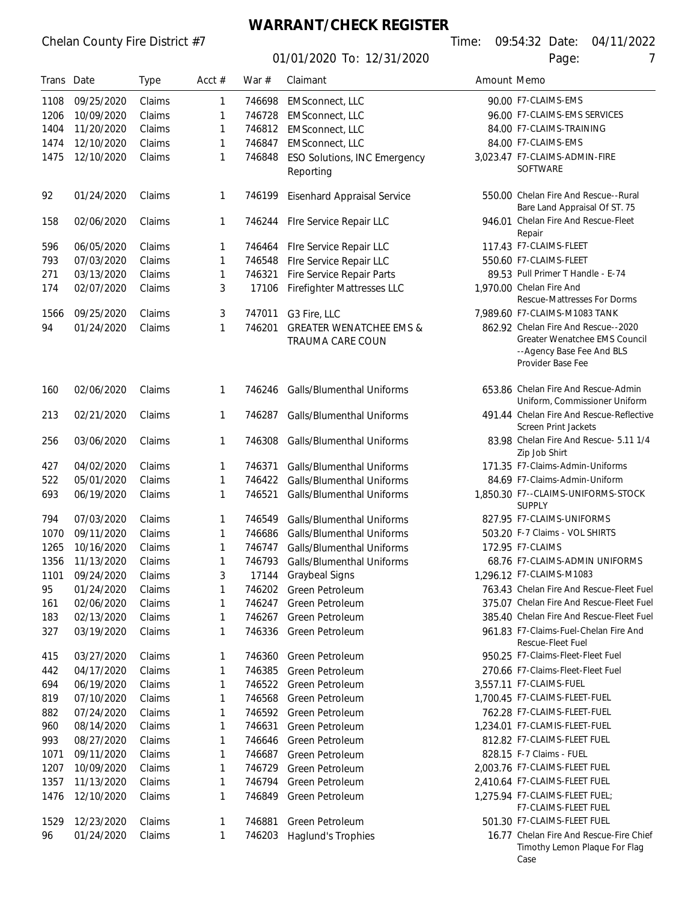## **WARRANT/CHECK REGISTER**

01/01/2020 To: 12/31/2020 Page: 7

Timothy Lemon Plaque For Flag

Case

| Trans Date |            | <b>Type</b> | Acct $#$ | War $#$ | Claimant                            | Amount Memo |                                                                                 |
|------------|------------|-------------|----------|---------|-------------------------------------|-------------|---------------------------------------------------------------------------------|
| 1108       | 09/25/2020 | Claims      | 1        | 746698  | <b>EMSconnect, LLC</b>              |             | 90.00 F7-CLAIMS-EMS                                                             |
| 1206       | 10/09/2020 | Claims      | 1        | 746728  | <b>EMSconnect, LLC</b>              |             | 96.00 F7-CLAIMS-EMS SERVICES                                                    |
| 1404       | 11/20/2020 | Claims      | 1        | 746812  | <b>EMSconnect, LLC</b>              |             | 84.00 F7-CLAIMS-TRAINING                                                        |
| 1474       | 12/10/2020 | Claims      | 1        | 746847  | <b>EMSconnect, LLC</b>              |             | 84.00 F7-CLAIMS-EMS                                                             |
| 1475       | 12/10/2020 | Claims      | 1        | 746848  | <b>ESO Solutions, INC Emergency</b> |             | 3,023.47 F7-CLAIMS-ADMIN-FIRE                                                   |
|            |            |             |          |         | Reporting                           |             | <b>SOFTWARE</b>                                                                 |
| 92         | 01/24/2020 | Claims      | 1        | 746199  | Eisenhard Appraisal Service         |             | 550.00 Chelan Fire And Rescue--Rural<br>Bare Land Appraisal Of ST. 75           |
| 158        | 02/06/2020 | Claims      | 1        | 746244  | Fire Service Repair LLC             |             | 946.01 Chelan Fire And Rescue-Fleet<br>Repair                                   |
| 596        | 06/05/2020 | Claims      | 1        | 746464  | Fire Service Repair LLC             |             | 117.43 F7-CLAIMS-FLEET                                                          |
| 793        | 07/03/2020 | Claims      | 1        | 746548  | Fire Service Repair LLC             |             | 550.60 F7-CLAIMS-FLEET                                                          |
| 271        | 03/13/2020 | Claims      | 1        | 746321  | Fire Service Repair Parts           |             | 89.53 Pull Primer T Handle - E-74                                               |
| 174        | 02/07/2020 | Claims      | 3        | 17106   | <b>Firefighter Mattresses LLC</b>   |             | 1,970.00 Chelan Fire And<br><b>Rescue-Mattresses For Dorms</b>                  |
| 1566       | 09/25/2020 | Claims      | 3        | 747011  | G3 Fire, LLC                        |             | 7,989.60 F7-CLAIMS-M1083 TANK                                                   |
| 94         | 01/24/2020 | Claims      | 1        | 746201  | <b>GREATER WENATCHEE EMS &amp;</b>  |             | 862.92 Chelan Fire And Rescue--2020                                             |
|            |            |             |          |         | TRAUMA CARE COUN                    |             | Greater Wenatchee EMS Council<br>--Agency Base Fee And BLS<br>Provider Base Fee |
| 160        | 02/06/2020 | Claims      | 1        | 746246  | <b>Galls/Blumenthal Uniforms</b>    |             | 653.86 Chelan Fire And Rescue-Admin<br>Uniform, Commissioner Uniform            |
| 213        | 02/21/2020 | Claims      | 1        | 746287  | Galls/Blumenthal Uniforms           |             | 491.44 Chelan Fire And Rescue-Reflective<br>Screen Print Jackets                |
| 256        | 03/06/2020 | Claims      | 1        | 746308  | Galls/Blumenthal Uniforms           |             | 83.98 Chelan Fire And Rescue- 5.11 1/4<br>Zip Job Shirt                         |
| 427        | 04/02/2020 | Claims      | 1        | 746371  | Galls/Blumenthal Uniforms           |             | 171.35 F7-Claims-Admin-Uniforms                                                 |
| 522        | 05/01/2020 | Claims      | 1        | 746422  | <b>Galls/Blumenthal Uniforms</b>    |             | 84.69 F7-Claims-Admin-Uniform                                                   |
| 693        | 06/19/2020 | Claims      | 1        | 746521  | Galls/Blumenthal Uniforms           |             | 1,850.30 F7--CLAIMS-UNIFORMS-STOCK<br><b>SUPPLY</b>                             |
| 794        | 07/03/2020 | Claims      | 1        | 746549  | Galls/Blumenthal Uniforms           |             | 827.95 F7-CLAIMS-UNIFORMS                                                       |
| 1070       | 09/11/2020 | Claims      | 1        | 746686  | <b>Galls/Blumenthal Uniforms</b>    |             | 503.20 F-7 Claims - VOL SHIRTS                                                  |
| 1265       | 10/16/2020 | Claims      | 1        | 746747  | Galls/Blumenthal Uniforms           |             | 172.95 F7-CLAIMS                                                                |
| 1356       | 11/13/2020 | Claims      | 1        | 746793  | <b>Galls/Blumenthal Uniforms</b>    |             | 68.76 F7-CLAIMS-ADMIN UNIFORMS                                                  |
| 1101       | 09/24/2020 | Claims      | 3        | 17144   | <b>Graybeal Signs</b>               |             | 1,296.12 F7-CLAIMS-M1083                                                        |
| 95         | 01/24/2020 | Claims      | 1        |         | 746202 Green Petroleum              |             | 763.43 Chelan Fire And Rescue-Fleet Fuel                                        |
| 161        | 02/06/2020 | Claims      | 1        | 746247  | Green Petroleum                     |             | 375.07 Chelan Fire And Rescue-Fleet Fuel                                        |
| 183        | 02/13/2020 | Claims      | 1        | 746267  | Green Petroleum                     |             | 385.40 Chelan Fire And Rescue-Fleet Fuel                                        |
| 327        | 03/19/2020 | Claims      | 1        | 746336  | Green Petroleum                     |             | 961.83 F7-Claims-Fuel-Chelan Fire And<br><b>Rescue-Fleet Fuel</b>               |
| 415        | 03/27/2020 | Claims      | 1        | 746360  | Green Petroleum                     |             | 950.25 F7-Claims-Fleet-Fleet Fuel                                               |
| 442        | 04/17/2020 | Claims      | 1        | 746385  | Green Petroleum                     |             | 270.66 F7-Claims-Fleet-Fleet Fuel                                               |
| 694        | 06/19/2020 | Claims      | 1        | 746522  | Green Petroleum                     |             | 3,557.11 F7-CLAIMS-FUEL                                                         |
| 819        | 07/10/2020 | Claims      | 1        | 746568  | Green Petroleum                     |             | 1,700.45 F7-CLAIMS-FLEET-FUEL                                                   |
| 882        | 07/24/2020 | Claims      | 1        | 746592  | Green Petroleum                     |             | 762.28 F7-CLAIMS-FLEET-FUEL                                                     |
| 960        | 08/14/2020 | Claims      | 1        | 746631  | Green Petroleum                     |             | 1,234.01 F7-CLAMIS-FLEET-FUEL                                                   |
| 993        | 08/27/2020 | Claims      | 1        | 746646  | <b>Green Petroleum</b>              |             | 812.82 F7-CLAIMS-FLEET FUEL                                                     |
| 1071       | 09/11/2020 | Claims      | 1        | 746687  | Green Petroleum                     |             | 828.15 F-7 Claims - FUEL                                                        |
| 1207       | 10/09/2020 | Claims      | 1        | 746729  | Green Petroleum                     |             | 2,003.76 F7-CLAIMS-FLEET FUEL                                                   |
| 1357       | 11/13/2020 | Claims      | 1        | 746794  | Green Petroleum                     |             | 2,410.64 F7-CLAIMS-FLEET FUEL                                                   |
| 1476       | 12/10/2020 | Claims      | 1        | 746849  | Green Petroleum                     |             | 1.275.94 F7-CLAIMS-FLEET FUEL;<br>F7-CLAIMS-FLEET FUEL                          |
| 1529       | 12/23/2020 | Claims      | 1        |         | 746881 Green Petroleum              |             | 501.30 F7-CLAIMS-FLEET FUEL                                                     |
| 96         | 01/24/2020 | Claims      | 1        |         | 746203 Haglund's Trophies           |             | 16.77 Chelan Fire And Rescue-Fire Chief                                         |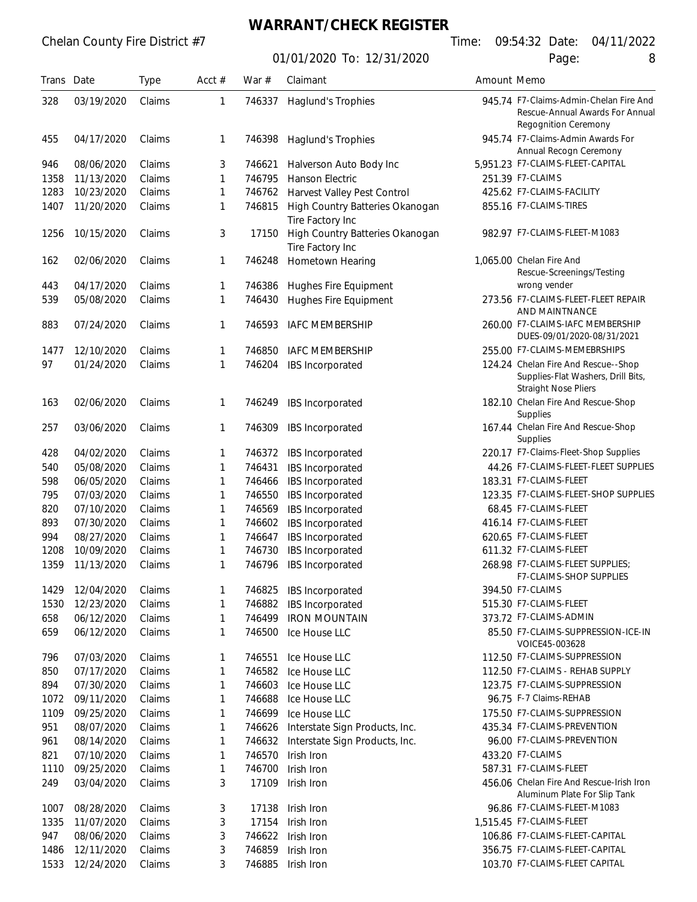#### **WARRANT/CHECK REGISTER**

01/01/2020 To: 12/31/2020 Page: 8

| Trans | Date       | <b>Type</b> | Acct $#$ | War $#$ | Claimant                                            | Amount Memo |                                                                                                          |
|-------|------------|-------------|----------|---------|-----------------------------------------------------|-------------|----------------------------------------------------------------------------------------------------------|
| 328   | 03/19/2020 | Claims      | 1        | 746337  | Haglund's Trophies                                  |             | 945.74 F7-Claims-Admin-Chelan Fire And<br>Rescue-Annual Awards For Annual<br>Regognition Ceremony        |
| 455   | 04/17/2020 | Claims      | 1        | 746398  | Haglund's Trophies                                  |             | 945.74 F7-Claims-Admin Awards For<br>Annual Recogn Ceremony                                              |
| 946   | 08/06/2020 | Claims      | 3        | 746621  | Halverson Auto Body Inc                             |             | 5,951.23 F7-CLAIMS-FLEET-CAPITAL                                                                         |
| 1358  | 11/13/2020 | Claims      | 1        | 746795  | <b>Hanson Electric</b>                              |             | 251.39 F7-CLAIMS                                                                                         |
| 1283  | 10/23/2020 | Claims      | 1        | 746762  | Harvest Valley Pest Control                         |             | 425.62 F7-CLAIMS-FACILITY                                                                                |
| 1407  | 11/20/2020 | Claims      | 1        | 746815  | High Country Batteries Okanogan                     |             | 855.16 F7-CLAIMS-TIRES                                                                                   |
|       |            |             |          |         | Tire Factory Inc                                    |             |                                                                                                          |
| 1256  | 10/15/2020 | Claims      | 3        | 17150   | High Country Batteries Okanogan<br>Tire Factory Inc |             | 982.97 F7-CLAIMS-FLEET-M1083                                                                             |
| 162   | 02/06/2020 | Claims      | 1        | 746248  | Hometown Hearing                                    |             | 1,065.00 Chelan Fire And<br>Rescue-Screenings/Testing                                                    |
| 443   | 04/17/2020 | Claims      | 1        | 746386  | Hughes Fire Equipment                               |             | wrong vender                                                                                             |
| 539   | 05/08/2020 | Claims      | 1        | 746430  | Hughes Fire Equipment                               |             | 273.56 F7-CLAIMS-FLEET-FLEET REPAIR<br>AND MAINTNANCE                                                    |
| 883   | 07/24/2020 | Claims      | 1        | 746593  | <b>IAFC MEMBERSHIP</b>                              |             | 260.00 F7-CLAIMS-IAFC MEMBERSHIP<br>DUES-09/01/2020-08/31/2021                                           |
| 1477  | 12/10/2020 | Claims      | 1        | 746850  | <b>IAFC MEMBERSHIP</b>                              |             | 255.00 F7-CLAIMS-MEMEBRSHIPS                                                                             |
| 97    | 01/24/2020 | Claims      | 1        | 746204  | IBS Incorporated                                    |             | 124.24 Chelan Fire And Rescue--Shop<br>Supplies-Flat Washers, Drill Bits,<br><b>Straight Nose Pliers</b> |
| 163   | 02/06/2020 | Claims      | 1        | 746249  | IBS Incorporated                                    |             | 182.10 Chelan Fire And Rescue-Shop<br><b>Supplies</b>                                                    |
| 257   | 03/06/2020 | Claims      | 1        | 746309  | IBS Incorporated                                    |             | 167.44 Chelan Fire And Rescue-Shop<br>Supplies                                                           |
| 428   | 04/02/2020 | Claims      | 1        | 746372  | IBS Incorporated                                    |             | 220.17 F7-Claims-Fleet-Shop Supplies                                                                     |
| 540   | 05/08/2020 | Claims      | 1        | 746431  | IBS Incorporated                                    |             | 44.26 F7-CLAIMS-FLEET-FLEET SUPPLIES                                                                     |
| 598   | 06/05/2020 | Claims      | 1        | 746466  | IBS Incorporated                                    |             | 183.31 F7-CLAIMS-FLEET                                                                                   |
| 795   | 07/03/2020 | Claims      | 1        | 746550  | IBS Incorporated                                    |             | 123.35 F7-CLAIMS-FLEET-SHOP SUPPLIES                                                                     |
| 820   | 07/10/2020 | Claims      | 1        | 746569  | IBS Incorporated                                    |             | 68.45 F7-CLAIMS-FLEET                                                                                    |
| 893   | 07/30/2020 | Claims      | 1        | 746602  | IBS Incorporated                                    |             | 416.14 F7-CLAIMS-FLEET                                                                                   |
| 994   | 08/27/2020 | Claims      | 1        | 746647  | IBS Incorporated                                    |             | 620.65 F7-CLAIMS-FLEET                                                                                   |
| 1208  | 10/09/2020 | Claims      | 1        | 746730  | IBS Incorporated                                    |             | 611.32 F7-CLAIMS-FLEET                                                                                   |
| 1359  | 11/13/2020 | Claims      | 1        | 746796  | IBS Incorporated                                    |             | 268.98 F7-CLAIMS-FLEET SUPPLIES:<br>F7-CLAIMS-SHOP SUPPLIES                                              |
| 1429  | 12/04/2020 | Claims      | 1        | 746825  | IBS Incorporated                                    |             | 394.50 F7-CLAIMS                                                                                         |
| 1530  | 12/23/2020 | Claims      | 1        | 746882  | IBS Incorporated                                    |             | 515.30 F7-CLAIMS-FLEET                                                                                   |
| 658   | 06/12/2020 | Claims      | 1        | 746499  | <b>IRON MOUNTAIN</b>                                |             | 373.72 F7-CLAIMS-ADMIN                                                                                   |
| 659   | 06/12/2020 | Claims      | 1        | 746500  | Ice House LLC                                       |             | 85.50 F7-CLAIMS-SUPPRESSION-ICE-IN<br>VOICE45-003628                                                     |
| 796   | 07/03/2020 | Claims      | 1        | 746551  | Ice House LLC                                       |             | 112.50 F7-CLAIMS-SUPPRESSION                                                                             |
| 850   | 07/17/2020 | Claims      | 1        | 746582  | Ice House LLC                                       |             | 112.50 F7-CLAIMS - REHAB SUPPLY                                                                          |
| 894   | 07/30/2020 | Claims      | 1        | 746603  | Ice House LLC                                       |             | 123.75 F7-CLAIMS-SUPPRESSION                                                                             |
| 1072  | 09/11/2020 | Claims      | 1        | 746688  | Ice House LLC                                       |             | 96.75 F-7 Claims-REHAB                                                                                   |
| 1109  | 09/25/2020 | Claims      | 1        | 746699  | Ice House LLC                                       |             | 175.50 F7-CLAIMS-SUPPRESSION                                                                             |
| 951   | 08/07/2020 | Claims      | 1        | 746626  | Interstate Sign Products, Inc.                      |             | 435.34 F7-CLAIMS-PREVENTION                                                                              |
| 961   | 08/14/2020 | Claims      | 1        | 746632  | Interstate Sign Products, Inc.                      |             | 96.00 F7-CLAIMS-PREVENTION                                                                               |
| 821   | 07/10/2020 | Claims      | 1        | 746570  | Irish Iron                                          |             | 433.20 F7-CLAIMS                                                                                         |
| 1110  | 09/25/2020 | Claims      | 1        | 746700  | Irish Iron                                          |             | 587.31 F7-CLAIMS-FLEET                                                                                   |
| 249   | 03/04/2020 | Claims      | 3        | 17109   | Irish Iron                                          |             | 456.06 Chelan Fire And Rescue-Irish Iron<br>Aluminum Plate For Slip Tank                                 |
| 1007  | 08/28/2020 | Claims      | 3        | 17138   | Irish Iron                                          |             | 96.86 F7-CLAIMS-FLEET-M1083                                                                              |
| 1335  | 11/07/2020 | Claims      | 3        | 17154   | Irish Iron                                          |             | 1,515.45 F7-CLAIMS-FLEET                                                                                 |
| 947   | 08/06/2020 | Claims      | 3        | 746622  | Irish Iron                                          |             | 106.86 F7-CLAIMS-FLEET-CAPITAL                                                                           |
| 1486  | 12/11/2020 | Claims      | 3        | 746859  | Irish Iron                                          |             | 356.75 F7-CLAIMS-FLEET-CAPITAL                                                                           |

12/24/2020 Claims 3 746885 Irish Iron 103.70 F7-CLAIMS-FLEET CAPITAL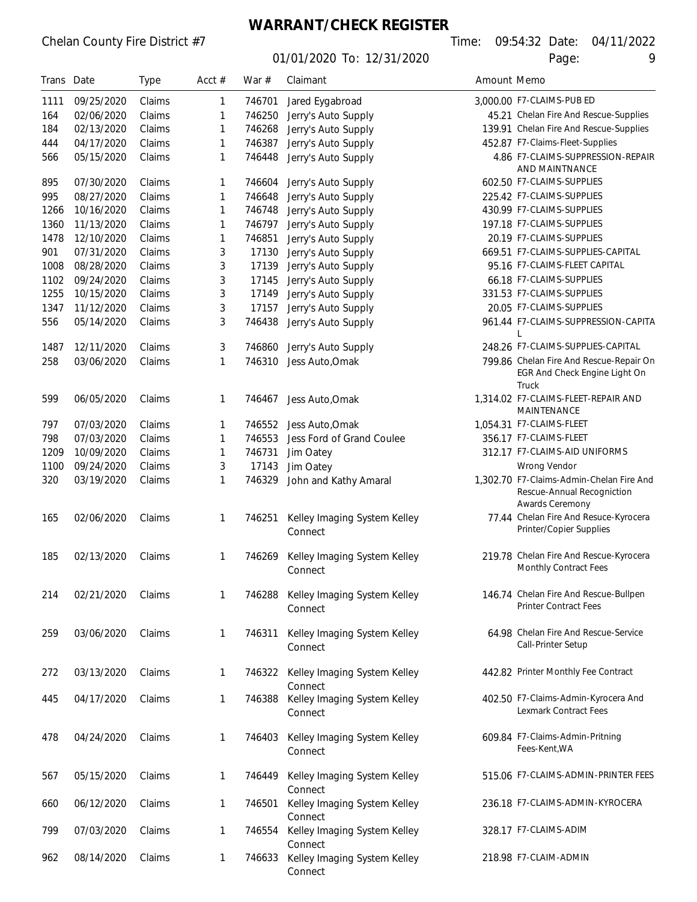## **WARRANT/CHECK REGISTER**

01/01/2020 To: 12/31/2020 Page: 9

| Trans Date |            | <b>Type</b> | Acct $#$ | War $#$ | Claimant                                       | Amount Memo |                                                                                           |
|------------|------------|-------------|----------|---------|------------------------------------------------|-------------|-------------------------------------------------------------------------------------------|
| 1111       | 09/25/2020 | Claims      | 1        | 746701  | Jared Eygabroad                                |             | 3,000.00 F7-CLAIMS-PUB ED                                                                 |
| 164        | 02/06/2020 | Claims      | 1        | 746250  | Jerry's Auto Supply                            |             | 45.21 Chelan Fire And Rescue-Supplies                                                     |
| 184        | 02/13/2020 | Claims      | 1        | 746268  | Jerry's Auto Supply                            |             | 139.91 Chelan Fire And Rescue-Supplies                                                    |
| 444        | 04/17/2020 | Claims      | 1        | 746387  | Jerry's Auto Supply                            |             | 452.87 F7-Claims-Fleet-Supplies                                                           |
| 566        | 05/15/2020 | Claims      | 1        | 746448  | Jerry's Auto Supply                            |             | 4.86 F7-CLAIMS-SUPPRESSION-REPAIR<br>AND MAINTNANCE                                       |
| 895        | 07/30/2020 | Claims      | 1        | 746604  | Jerry's Auto Supply                            |             | 602.50 F7-CLAIMS-SUPPLIES                                                                 |
| 995        | 08/27/2020 | Claims      | 1        | 746648  | Jerry's Auto Supply                            |             | 225.42 F7-CLAIMS-SUPPLIES                                                                 |
| 1266       | 10/16/2020 | Claims      | 1        | 746748  | Jerry's Auto Supply                            |             | 430.99 F7-CLAIMS-SUPPLIES                                                                 |
| 1360       | 11/13/2020 | Claims      | 1        | 746797  | Jerry's Auto Supply                            |             | 197.18 F7-CLAIMS-SUPPLIES                                                                 |
| 1478       | 12/10/2020 | Claims      | 1        | 746851  | Jerry's Auto Supply                            |             | 20.19 F7-CLAIMS-SUPPLIES                                                                  |
| 901        | 07/31/2020 | Claims      | 3        | 17130   | Jerry's Auto Supply                            |             | 669.51 F7-CLAIMS-SUPPLIES-CAPITAL                                                         |
| 1008       | 08/28/2020 | Claims      | 3        | 17139   | Jerry's Auto Supply                            |             | 95.16 F7-CLAIMS-FLEET CAPITAL                                                             |
| 1102       | 09/24/2020 | Claims      | 3        | 17145   | Jerry's Auto Supply                            |             | 66.18 F7-CLAIMS-SUPPLIES                                                                  |
| 1255       | 10/15/2020 | Claims      | 3        | 17149   | Jerry's Auto Supply                            |             | 331.53 F7-CLAIMS-SUPPLIES                                                                 |
| 1347       | 11/12/2020 | Claims      | 3        | 17157   | Jerry's Auto Supply                            |             | 20.05 F7-CLAIMS-SUPPLIES                                                                  |
| 556        | 05/14/2020 | Claims      | 3        | 746438  | Jerry's Auto Supply                            |             | 961.44 F7-CLAIMS-SUPPRESSION-CAPITA<br>L                                                  |
| 1487       | 12/11/2020 | Claims      | 3        | 746860  | Jerry's Auto Supply                            |             | 248.26 F7-CLAIMS-SUPPLIES-CAPITAL                                                         |
| 258        | 03/06/2020 | Claims      | 1        | 746310  | Jess Auto, Omak                                |             | 799.86 Chelan Fire And Rescue-Repair On                                                   |
|            |            |             |          |         |                                                |             | EGR And Check Engine Light On<br>Truck                                                    |
| 599        | 06/05/2020 | Claims      | 1        | 746467  | Jess Auto, Omak                                |             | 1,314.02 F7-CLAIMS-FLEET-REPAIR AND<br>MAINTENANCE                                        |
| 797        | 07/03/2020 | Claims      | 1        | 746552  | Jess Auto, Omak                                |             | 1,054.31 F7-CLAIMS-FLEET                                                                  |
| 798        | 07/03/2020 | Claims      | 1        | 746553  | Jess Ford of Grand Coulee                      |             | 356.17 F7-CLAIMS-FLEET                                                                    |
| 1209       | 10/09/2020 | Claims      | 1        | 746731  | Jim Oatey                                      |             | 312.17 F7-CLAIMS-AID UNIFORMS                                                             |
| 1100       | 09/24/2020 | Claims      | 3        | 17143   | Jim Oatey                                      |             | Wrong Vendor                                                                              |
| 320        | 03/19/2020 | Claims      | 1        | 746329  | John and Kathy Amaral                          |             | 1,302.70 F7-Claims-Admin-Chelan Fire And<br>Rescue-Annual Recogniction<br>Awards Ceremony |
| 165        | 02/06/2020 | Claims      | 1        | 746251  | Kelley Imaging System Kelley<br>Connect        |             | 77.44 Chelan Fire And Resuce-Kyrocera<br>Printer/Copier Supplies                          |
| 185        | 02/13/2020 | Claims      | 1        | 746269  | Kelley Imaging System Kelley<br>Connect        |             | 219.78 Chelan Fire And Rescue-Kyrocera<br>Monthly Contract Fees                           |
| 214        | 02/21/2020 | Claims      | 1        | 746288  | Kelley Imaging System Kelley<br>Connect        |             | 146.74 Chelan Fire And Rescue-Bullpen<br><b>Printer Contract Fees</b>                     |
| 259        | 03/06/2020 | Claims      | 1        | 746311  | Kelley Imaging System Kelley<br>Connect        |             | 64.98 Chelan Fire And Rescue-Service<br>Call-Printer Setup                                |
| 272        | 03/13/2020 | Claims      | 1        |         | 746322 Kelley Imaging System Kelley<br>Connect |             | 442.82 Printer Monthly Fee Contract                                                       |
| 445        | 04/17/2020 | Claims      | 1        |         | 746388 Kelley Imaging System Kelley<br>Connect |             | 402.50 F7-Claims-Admin-Kyrocera And<br><b>Lexmark Contract Fees</b>                       |
| 478        | 04/24/2020 | Claims      | 1        | 746403  | Kelley Imaging System Kelley<br>Connect        |             | 609.84 F7-Claims-Admin-Pritning<br>Fees-Kent, WA                                          |
| 567        | 05/15/2020 | Claims      | 1        | 746449  | Kelley Imaging System Kelley<br>Connect        |             | 515.06 F7-CLAIMS-ADMIN-PRINTER FEES                                                       |
| 660        | 06/12/2020 | Claims      | 1        | 746501  | Kelley Imaging System Kelley<br>Connect        |             | 236.18 F7-CLAIMS-ADMIN-KYROCERA                                                           |
| 799        | 07/03/2020 | Claims      | 1        | 746554  | Kelley Imaging System Kelley<br>Connect        |             | 328.17 F7-CLAIMS-ADIM                                                                     |
| 962        | 08/14/2020 | Claims      | 1        | 746633  | Kelley Imaging System Kelley                   |             | 218.98 F7-CLAIM-ADMIN                                                                     |

Connect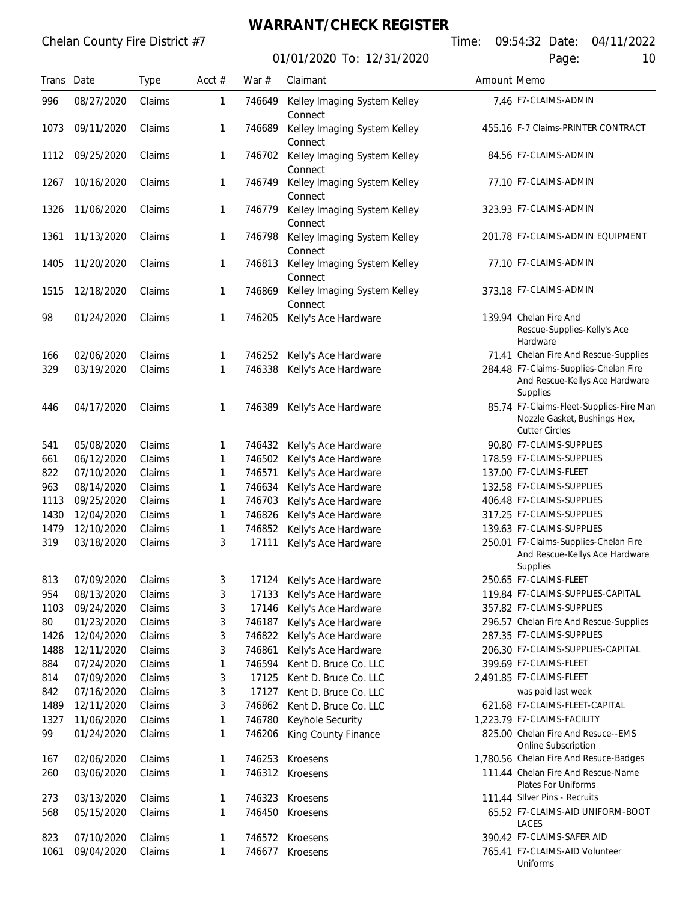## **WARRANT/CHECK REGISTER**

|            |            |        |          |        | <u>UT/UT/ZUZU TO: TZ/3T/ZUZU</u>        |             | Page:<br>ΙU                                                                                      |
|------------|------------|--------|----------|--------|-----------------------------------------|-------------|--------------------------------------------------------------------------------------------------|
| Trans Date |            | Type   | Acct $#$ | War #  | Claimant                                | Amount Memo |                                                                                                  |
| 996        | 08/27/2020 | Claims | 1        | 746649 | Kelley Imaging System Kelley<br>Connect |             | 7.46 F7-CLAIMS-ADMIN                                                                             |
| 1073       | 09/11/2020 | Claims | 1        | 746689 | Kelley Imaging System Kelley<br>Connect |             | 455.16 F-7 Claims-PRINTER CONTRACT                                                               |
| 1112       | 09/25/2020 | Claims | 1        | 746702 | Kelley Imaging System Kelley<br>Connect |             | 84.56 F7-CLAIMS-ADMIN                                                                            |
| 1267       | 10/16/2020 | Claims | 1        | 746749 | Kelley Imaging System Kelley<br>Connect |             | 77.10 F7-CLAIMS-ADMIN                                                                            |
| 1326       | 11/06/2020 | Claims | 1        | 746779 | Kelley Imaging System Kelley<br>Connect |             | 323.93 F7-CLAIMS-ADMIN                                                                           |
| 1361       | 11/13/2020 | Claims | 1        | 746798 | Kelley Imaging System Kelley<br>Connect |             | 201.78 F7-CLAIMS-ADMIN EQUIPMENT                                                                 |
| 1405       | 11/20/2020 | Claims | 1        | 746813 | Kelley Imaging System Kelley<br>Connect |             | 77.10 F7-CLAIMS-ADMIN                                                                            |
| 1515       | 12/18/2020 | Claims | 1        | 746869 | Kelley Imaging System Kelley<br>Connect |             | 373.18 F7-CLAIMS-ADMIN                                                                           |
| 98         | 01/24/2020 | Claims | 1        | 746205 | Kelly's Ace Hardware                    |             | 139.94 Chelan Fire And<br>Rescue-Supplies-Kelly's Ace<br>Hardware                                |
| 166        | 02/06/2020 | Claims | 1        | 746252 | Kelly's Ace Hardware                    |             | 71.41 Chelan Fire And Rescue-Supplies                                                            |
| 329        | 03/19/2020 | Claims | 1        | 746338 | Kelly's Ace Hardware                    |             | 284.48 F7-Claims-Supplies-Chelan Fire<br>And Rescue-Kellys Ace Hardware<br>Supplies              |
| 446        | 04/17/2020 | Claims | 1        | 746389 | Kelly's Ace Hardware                    |             | 85.74 F7-Claims-Fleet-Supplies-Fire Man<br>Nozzle Gasket, Bushings Hex,<br><b>Cutter Circles</b> |
| 541        | 05/08/2020 | Claims | 1        | 746432 | Kelly's Ace Hardware                    |             | 90.80 F7-CLAIMS-SUPPLIES                                                                         |
| 661        | 06/12/2020 | Claims | 1        | 746502 | Kelly's Ace Hardware                    |             | 178.59 F7-CLAIMS-SUPPLIES                                                                        |
| 822        | 07/10/2020 | Claims | 1        | 746571 | Kelly's Ace Hardware                    |             | 137.00 F7-CLAIMS-FLEET                                                                           |
| 963        | 08/14/2020 | Claims | 1        | 746634 | Kelly's Ace Hardware                    |             | 132.58 F7-CLAIMS-SUPPLIES                                                                        |
| 1113       | 09/25/2020 | Claims | 1        | 746703 | Kelly's Ace Hardware                    |             | 406.48 F7-CLAIMS-SUPPLIES                                                                        |
| 1430       | 12/04/2020 | Claims | 1        | 746826 | Kelly's Ace Hardware                    |             | 317.25 F7-CLAIMS-SUPPLIES                                                                        |
| 1479       | 12/10/2020 | Claims | 1        | 746852 | Kelly's Ace Hardware                    |             | 139.63 F7-CLAIMS-SUPPLIES                                                                        |
| 319        | 03/18/2020 | Claims | 3        | 17111  | Kelly's Ace Hardware                    |             | 250.01 F7-Claims-Supplies-Chelan Fire<br>And Rescue-Kellys Ace Hardware<br>Supplies              |
| 813        | 07/09/2020 | Claims | 3        | 17124  | Kelly's Ace Hardware                    |             | 250.65 F7-CLAIMS-FLEET                                                                           |
| 954        | 08/13/2020 | Claims | 3        | 17133  | Kelly's Ace Hardware                    |             | 119.84 F7-CLAIMS-SUPPLIES-CAPITAL                                                                |
| 1103       | 09/24/2020 | Claims | 3        | 17146  | Kelly's Ace Hardware                    |             | 357.82 F7-CLAIMS-SUPPLIES                                                                        |
| 80         | 01/23/2020 | Claims | 3        | 746187 | Kelly's Ace Hardware                    |             | 296.57 Chelan Fire And Rescue-Supplies                                                           |
| 1426       | 12/04/2020 | Claims | 3        | 746822 | Kelly's Ace Hardware                    |             | 287.35 F7-CLAIMS-SUPPLIES                                                                        |
| 1488       | 12/11/2020 | Claims | 3        | 746861 | Kelly's Ace Hardware                    |             | 206.30 F7-CLAIMS-SUPPLIES-CAPITAL                                                                |
| 884        | 07/24/2020 | Claims | 1        | 746594 | Kent D. Bruce Co. LLC                   |             | 399.69 F7-CLAIMS-FLEET                                                                           |
| 814        | 07/09/2020 | Claims | 3        | 17125  | Kent D. Bruce Co. LLC                   |             | 2,491.85 F7-CLAIMS-FLEET                                                                         |
| 842        | 07/16/2020 | Claims | 3        | 17127  | Kent D. Bruce Co. LLC                   |             | was paid last week                                                                               |
| 1489       | 12/11/2020 | Claims | 3        | 746862 | Kent D. Bruce Co. LLC                   |             | 621.68 F7-CLAIMS-FLEET-CAPITAL                                                                   |
| 1327       | 11/06/2020 | Claims | 1        | 746780 | Keyhole Security                        |             | 1,223.79 F7-CLAIMS-FACILITY                                                                      |
| 99         | 01/24/2020 | Claims | 1        | 746206 | King County Finance                     |             | 825.00 Chelan Fire And Resuce--EMS<br>Online Subscription                                        |
| 167        | 02/06/2020 | Claims | 1        | 746253 | Kroesens                                |             | 1,780.56 Chelan Fire And Resuce-Badges                                                           |
| 260        | 03/06/2020 | Claims | 1        | 746312 | Kroesens                                |             | 111.44 Chelan Fire And Rescue-Name<br>Plates For Uniforms                                        |
| 273        | 03/13/2020 | Claims | 1        | 746323 | Kroesens                                |             | 111.44 Silver Pins - Recruits                                                                    |
| 568        | 05/15/2020 | Claims | 1        | 746450 | Kroesens                                |             | 65.52 F7-CLAIMS-AID UNIFORM-BOOT<br>LACES                                                        |
| 823        | 07/10/2020 | Claims | 1        | 746572 | Kroesens                                |             | 390.42 F7-CLAIMS-SAFER AID                                                                       |
| 1061       | 09/04/2020 | Claims | 1        | 746677 | Kroesens                                |             | 765.41 F7-CLAIMS-AID Volunteer<br>Uniforms                                                       |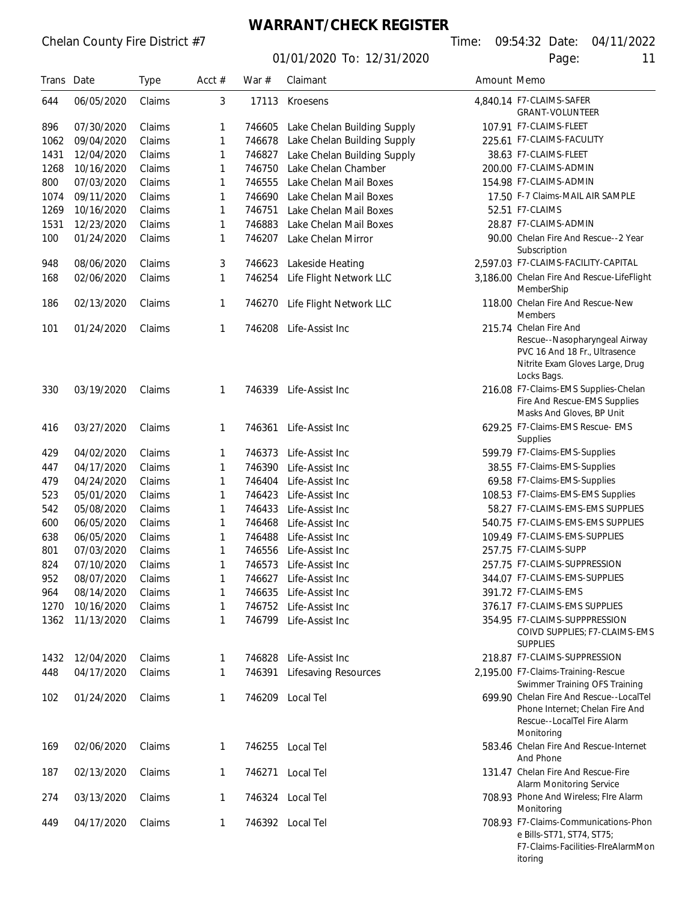## **WARRANT/CHECK REGISTER**

01/01/2020 To: 12/31/2020 Page: 11

Chelan County Fire District #7 Time: 09:54:32 Date: 04/11/2022

F7-Claims-Facilities-FIreAlarmMon

itoring

| Trans Date   |                          | <b>Type</b>      | Acct $#$ | War $#$ | Claimant                                  | Amount Memo |                                                                                                                                            |
|--------------|--------------------------|------------------|----------|---------|-------------------------------------------|-------------|--------------------------------------------------------------------------------------------------------------------------------------------|
| 644          | 06/05/2020               | Claims           | 3        | 17113   | Kroesens                                  |             | 4,840.14 F7-CLAIMS-SAFER<br><b>GRANT-VOLUNTEER</b>                                                                                         |
| 896          | 07/30/2020               | Claims           | 1        | 746605  | Lake Chelan Building Supply               |             | 107.91 F7-CLAIMS-FLEET                                                                                                                     |
| 1062         | 09/04/2020               | Claims           | 1        | 746678  | Lake Chelan Building Supply               |             | 225.61 F7-CLAIMS-FACULITY                                                                                                                  |
| 1431         | 12/04/2020               | Claims           | 1        | 746827  | Lake Chelan Building Supply               |             | 38.63 F7-CLAIMS-FLEET                                                                                                                      |
| 1268         | 10/16/2020               | Claims           | 1        | 746750  | Lake Chelan Chamber                       |             | 200.00 F7-CLAIMS-ADMIN                                                                                                                     |
| 800          | 07/03/2020               | Claims           | 1        | 746555  | Lake Chelan Mail Boxes                    |             | 154.98 F7-CLAIMS-ADMIN                                                                                                                     |
| 1074         | 09/11/2020               | Claims           | 1        | 746690  | Lake Chelan Mail Boxes                    |             | 17.50 F-7 Claims-MAIL AIR SAMPLE                                                                                                           |
| 1269         | 10/16/2020               | Claims           | 1        | 746751  | Lake Chelan Mail Boxes                    |             | 52.51 F7-CLAIMS                                                                                                                            |
| 1531         | 12/23/2020               | Claims           | 1        | 746883  | Lake Chelan Mail Boxes                    |             | 28.87 F7-CLAIMS-ADMIN                                                                                                                      |
| 100          | 01/24/2020               | Claims           | 1        | 746207  | Lake Chelan Mirror                        |             | 90.00 Chelan Fire And Rescue--2 Year<br>Subscription                                                                                       |
| 948          | 08/06/2020               | Claims           | 3        | 746623  | Lakeside Heating                          |             | 2,597.03 F7-CLAIMS-FACILITY-CAPITAL                                                                                                        |
| 168          | 02/06/2020               | Claims           | 1        |         | 746254 Life Flight Network LLC            |             | 3,186.00 Chelan Fire And Rescue-LifeFlight<br>MemberShip                                                                                   |
| 186          | 02/13/2020               | Claims           | 1        | 746270  | Life Flight Network LLC                   |             | 118.00 Chelan Fire And Rescue-New<br><b>Members</b>                                                                                        |
| 101          | 01/24/2020               | Claims           | 1        | 746208  | Life-Assist Inc                           |             | 215.74 Chelan Fire And<br>Rescue--Nasopharyngeal Airway<br>PVC 16 And 18 Fr., Ultrasence<br>Nitrite Exam Gloves Large, Drug<br>Locks Bags. |
| 330          | 03/19/2020               | Claims           | 1        | 746339  | Life-Assist Inc                           |             | 216.08 F7-Claims-EMS Supplies-Chelan<br>Fire And Rescue-EMS Supplies<br>Masks And Gloves, BP Unit                                          |
| 416          | 03/27/2020               | Claims           | 1        | 746361  | Life-Assist Inc                           |             | 629.25 F7-Claims-EMS Rescue- EMS<br><b>Supplies</b>                                                                                        |
| 429          | 04/02/2020               | Claims           | 1        | 746373  | Life-Assist Inc                           |             | 599.79 F7-Claims-EMS-Supplies                                                                                                              |
| 447          | 04/17/2020               | Claims           | 1        | 746390  | Life-Assist Inc                           |             | 38.55 F7-Claims-EMS-Supplies                                                                                                               |
| 479          | 04/24/2020               | Claims           | 1        | 746404  | Life-Assist Inc                           |             | 69.58 F7-Claims-EMS-Supplies                                                                                                               |
| 523          | 05/01/2020               | Claims           | 1        | 746423  | Life-Assist Inc                           |             | 108.53 F7-Claims-EMS-EMS Supplies                                                                                                          |
| 542          | 05/08/2020               | Claims           | 1        | 746433  | Life-Assist Inc                           |             | 58.27 F7-CLAIMS-EMS-EMS SUPPLIES                                                                                                           |
| 600          | 06/05/2020               | Claims           | 1        | 746468  | Life-Assist Inc                           |             | 540.75 F7-CLAIMS-EMS-EMS SUPPLIES                                                                                                          |
| 638          | 06/05/2020               | Claims           | 1        | 746488  | Life-Assist Inc                           |             | 109.49 F7-CLAIMS-EMS-SUPPLIES                                                                                                              |
| 801          | 07/03/2020               | Claims           | 1        | 746556  | Life-Assist Inc                           |             | 257.75 F7-CLAIMS-SUPP                                                                                                                      |
| 824          | 07/10/2020               | Claims           | 1        |         | 746573 Life-Assist Inc                    |             | 257.75 F7-CLAIMS-SUPPRESSION                                                                                                               |
| 952          | 08/07/2020               | Claims           |          | 746627  | Life-Assist Inc                           |             | 344.07 F7-CLAIMS-EMS-SUPPLIES                                                                                                              |
| 964          | 08/14/2020               | Claims           | 1        | 746635  | Life-Assist Inc                           |             | 391.72 F7-CLAIMS-EMS                                                                                                                       |
| 1270<br>1362 | 10/16/2020<br>11/13/2020 | Claims<br>Claims | 1<br>1   | 746752  | Life-Assist Inc<br>746799 Life-Assist Inc |             | 376.17 F7-CLAIMS-EMS SUPPLIES<br>354.95 F7-CLAIMS-SUPPPRESSION<br>COIVD SUPPLIES; F7-CLAIMS-EMS<br><b>SUPPLIES</b>                         |
| 1432         | 12/04/2020               | Claims           | 1        | 746828  | Life-Assist Inc                           |             | 218.87 F7-CLAIMS-SUPPRESSION                                                                                                               |
| 448          | 04/17/2020               | Claims           | 1        | 746391  | <b>Lifesaving Resources</b>               |             | 2,195.00 F7-Claims-Training-Rescue<br>Swimmer Training OFS Training                                                                        |
| 102          | 01/24/2020               | Claims           | 1        |         | 746209 Local Tel                          |             | 699.90 Chelan Fire And Rescue--LocalTel<br>Phone Internet; Chelan Fire And<br>Rescue--LocalTel Fire Alarm<br>Monitoring                    |
| 169          | 02/06/2020               | Claims           | 1        | 746255  | Local Tel                                 |             | 583.46 Chelan Fire And Rescue-Internet<br>And Phone                                                                                        |
| 187          | 02/13/2020               | Claims           | 1        | 746271  | Local Tel                                 |             | 131.47 Chelan Fire And Rescue-Fire<br>Alarm Monitoring Service                                                                             |
| 274          | 03/13/2020               | Claims           | 1        |         | 746324 Local Tel                          |             | 708.93 Phone And Wireless; Flre Alarm<br>Monitoring                                                                                        |
| 449          | 04/17/2020               | Claims           | 1        |         | 746392 Local Tel                          |             | 708.93 F7-Claims-Communications-Phon<br>e Bills-ST71, ST74, ST75;                                                                          |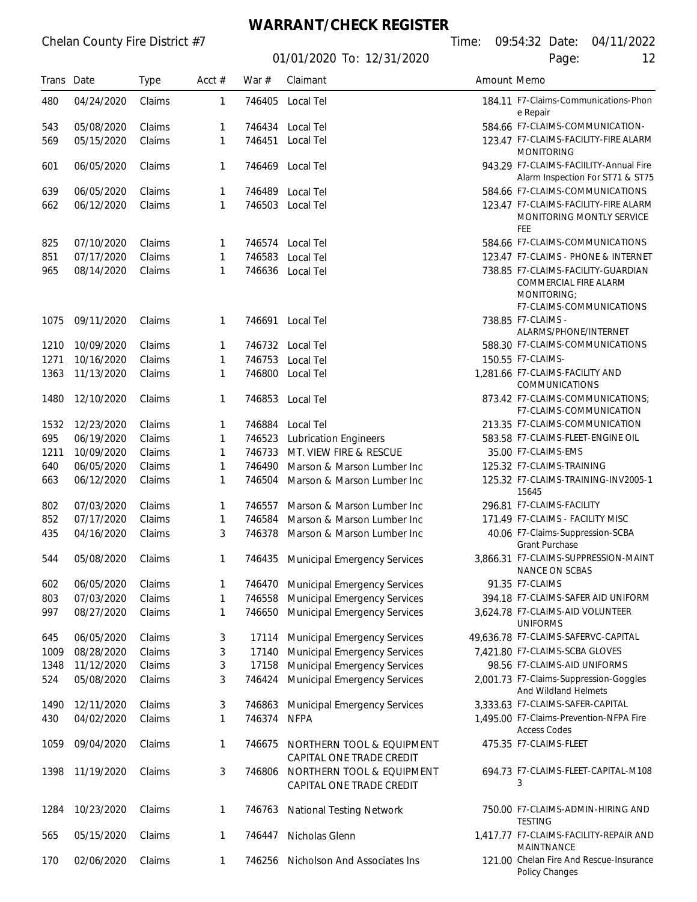# **WARRANT/CHECK REGISTER**

| г |  |  | $\sim$ |  |
|---|--|--|--------|--|
|   |  |  |        |  |
|   |  |  |        |  |
|   |  |  |        |  |

| Trans Date |            | <b>Type</b> | Acct $#$ | War $#$ | Claimant                                              | Amount Memo |                                                                                                        |
|------------|------------|-------------|----------|---------|-------------------------------------------------------|-------------|--------------------------------------------------------------------------------------------------------|
| 480        | 04/24/2020 | Claims      | 1        | 746405  | Local Tel                                             |             | 184.11 F7-Claims-Communications-Phon<br>e Repair                                                       |
| 543        | 05/08/2020 | Claims      | 1        | 746434  | Local Tel                                             |             | 584.66 F7-CLAIMS-COMMUNICATION-                                                                        |
| 569        | 05/15/2020 | Claims      | 1        | 746451  | Local Tel                                             |             | 123.47 F7-CLAIMS-FACILITY-FIRE ALARM<br><b>MONITORING</b>                                              |
| 601        | 06/05/2020 | Claims      | 1        | 746469  | Local Tel                                             |             | 943.29 F7-CLAIMS-FACIILITY-Annual Fire<br>Alarm Inspection For ST71 & ST75                             |
| 639        | 06/05/2020 | Claims      | 1        | 746489  | Local Tel                                             |             | 584.66 F7-CLAIMS-COMMUNICATIONS                                                                        |
| 662        | 06/12/2020 | Claims      | 1        | 746503  | Local Tel                                             |             | 123.47 F7-CLAIMS-FACILITY-FIRE ALARM<br>MONITORING MONTLY SERVICE<br>FEE                               |
| 825        | 07/10/2020 | Claims      | 1        |         | 746574 Local Tel                                      |             | 584.66 F7-CLAIMS-COMMUNICATIONS                                                                        |
| 851        | 07/17/2020 | Claims      | 1        | 746583  | Local Tel                                             |             | 123.47 F7-CLAIMS - PHONE & INTERNET                                                                    |
| 965        | 08/14/2020 | Claims      | 1        | 746636  | Local Tel                                             |             | 738.85 F7-CLAIMS-FACILITY-GUARDIAN<br>COMMERCIAL FIRE ALARM<br>MONITORING:<br>F7-CLAIMS-COMMUNICATIONS |
| 1075       | 09/11/2020 | Claims      | 1        | 746691  | Local Tel                                             |             | 738.85 F7-CLAIMS -<br>ALARMS/PHONE/INTERNET                                                            |
| 1210       | 10/09/2020 | Claims      | 1        |         | 746732 Local Tel                                      |             | 588.30 F7-CLAIMS-COMMUNICATIONS                                                                        |
| 1271       | 10/16/2020 | Claims      | 1        | 746753  | Local Tel                                             |             | 150.55 F7-CLAIMS-                                                                                      |
| 1363       | 11/13/2020 | Claims      | 1        | 746800  | Local Tel                                             |             | 1,281.66 F7-CLAIMS-FACILITY AND<br>COMMUNICATIONS                                                      |
| 1480       | 12/10/2020 | Claims      | 1        | 746853  | Local Tel                                             |             | 873.42 F7-CLAIMS-COMMUNICATIONS:<br>F7-CLAIMS-COMMUNICATION                                            |
| 1532       | 12/23/2020 | Claims      | 1        | 746884  | Local Tel                                             |             | 213.35 F7-CLAIMS-COMMUNICATION                                                                         |
| 695        | 06/19/2020 | Claims      | 1        | 746523  | <b>Lubrication Engineers</b>                          |             | 583.58 F7-CLAIMS-FLEET-ENGINE OIL                                                                      |
| 1211       | 10/09/2020 | Claims      | 1        | 746733  | MT. VIEW FIRE & RESCUE                                |             | 35.00 F7-CLAIMS-EMS                                                                                    |
| 640        | 06/05/2020 | Claims      | 1        | 746490  | Marson & Marson Lumber Inc                            |             | 125.32 F7-CLAIMS-TRAINING                                                                              |
| 663        | 06/12/2020 | Claims      | 1        | 746504  | Marson & Marson Lumber Inc                            |             | 125.32 F7-CLAIMS-TRAINING-INV2005-1<br>15645                                                           |
| 802        | 07/03/2020 | Claims      | 1        | 746557  | Marson & Marson Lumber Inc                            |             | 296.81 F7-CLAIMS-FACILITY                                                                              |
| 852        | 07/17/2020 | Claims      | 1        | 746584  | Marson & Marson Lumber Inc                            |             | 171.49 F7-CLAIMS - FACILITY MISC                                                                       |
| 435        | 04/16/2020 | Claims      | 3        | 746378  | Marson & Marson Lumber Inc                            |             | 40.06 F7-Claims-Suppression-SCBA<br>Grant Purchase                                                     |
| 544        | 05/08/2020 | Claims      | 1        | 746435  | <b>Municipal Emergency Services</b>                   |             | 3,866.31 F7-CLAIMS-SUPPRESSION-MAINT<br>NANCE ON SCBAS                                                 |
| 602        | 06/05/2020 | Claims      | 1        | 746470  | <b>Municipal Emergency Services</b>                   |             | 91.35 F7-CLAIMS                                                                                        |
| 803        | 07/03/2020 | Claims      | 1        | 746558  | <b>Municipal Emergency Services</b>                   |             | 394.18 F7-CLAIMS-SAFER AID UNIFORM                                                                     |
| 997        | 08/27/2020 | Claims      | 1        | 746650  | <b>Municipal Emergency Services</b>                   |             | 3,624.78 F7-CLAIMS-AID VOLUNTEER<br><b>UNIFORMS</b>                                                    |
| 645        | 06/05/2020 | Claims      | 3        | 17114   | <b>Municipal Emergency Services</b>                   |             | 49,636.78 F7-CLAIMS-SAFERVC-CAPITAL                                                                    |
| 1009       | 08/28/2020 | Claims      | 3        | 17140   | <b>Municipal Emergency Services</b>                   |             | 7,421.80 F7-CLAIMS-SCBA GLOVES                                                                         |
| 1348       | 11/12/2020 | Claims      | 3        | 17158   | <b>Municipal Emergency Services</b>                   |             | 98.56 F7-CLAIMS-AID UNIFORMS                                                                           |
| 524        | 05/08/2020 | Claims      | 3        | 746424  | <b>Municipal Emergency Services</b>                   |             | 2,001.73 F7-Claims-Suppression-Goggles<br>And Wildland Helmets                                         |
| 1490       | 12/11/2020 | Claims      | 3        | 746863  | <b>Municipal Emergency Services</b>                   |             | 3,333.63 F7-CLAIMS-SAFER-CAPITAL                                                                       |
| 430        | 04/02/2020 | Claims      | 1        | 746374  | <b>NFPA</b>                                           |             | 1,495.00 F7-Claims-Prevention-NFPA Fire<br><b>Access Codes</b>                                         |
| 1059       | 09/04/2020 | Claims      | 1        | 746675  | NORTHERN TOOL & EQUIPMENT<br>CAPITAL ONE TRADE CREDIT |             | 475.35 F7-CLAIMS-FLEET                                                                                 |
| 1398       | 11/19/2020 | Claims      | 3        | 746806  | NORTHERN TOOL & EQUIPMENT<br>CAPITAL ONE TRADE CREDIT |             | 694.73 F7-CLAIMS-FLEET-CAPITAL-M108<br>3                                                               |
| 1284       | 10/23/2020 | Claims      | 1        | 746763  | <b>National Testing Network</b>                       |             | 750.00 F7-CLAIMS-ADMIN-HIRING AND<br><b>TESTING</b>                                                    |
| 565        | 05/15/2020 | Claims      | 1        | 746447  | Nicholas Glenn                                        |             | 1,417.77 F7-CLAIMS-FACILITY-REPAIR AND<br><b>MAINTNANCE</b>                                            |
| 170        | 02/06/2020 | Claims      | 1        | 746256  | Nicholson And Associates Ins                          |             | 121.00 Chelan Fire And Rescue-Insurance<br>Policy Changes                                              |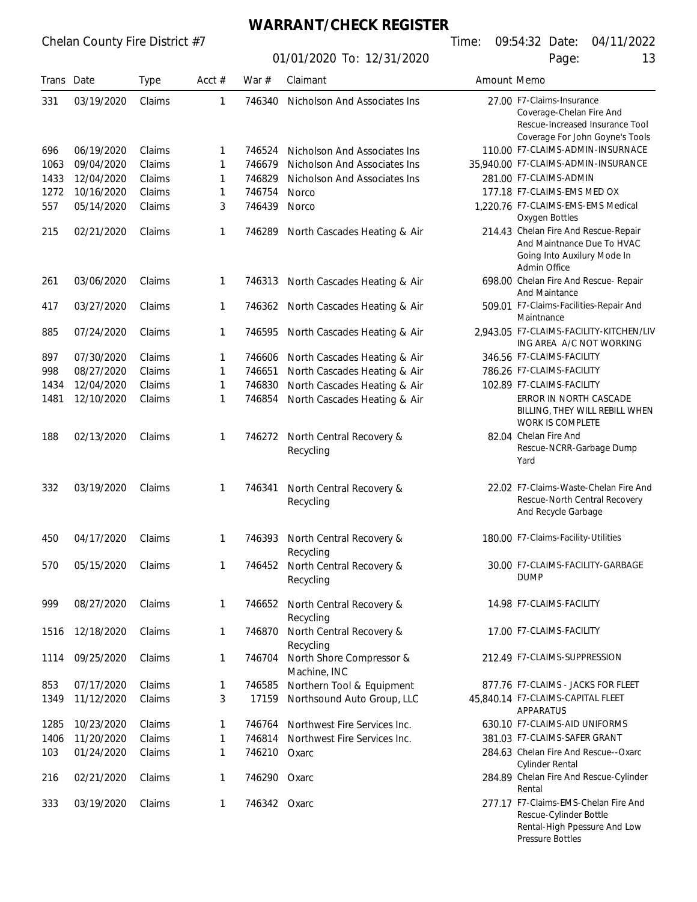**WARRANT/CHECK REGISTER**

01/01/2020 To: 12/31/2020 Page: 13

Pressure Bottles

| Trans Date |            | <b>Type</b> | Acct $#$ | War #        | Claimant                                           | Amount Memo |                                                                                                                   |
|------------|------------|-------------|----------|--------------|----------------------------------------------------|-------------|-------------------------------------------------------------------------------------------------------------------|
| 331        | 03/19/2020 | Claims      | 1        | 746340       | Nicholson And Associates Ins                       |             | 27.00 F7-Claims-Insurance<br>Coverage-Chelan Fire And<br>Rescue-Increased Insurance Tool                          |
|            |            |             |          |              |                                                    |             | Coverage For John Goyne's Tools                                                                                   |
| 696        | 06/19/2020 | Claims      | 1        | 746524       | Nicholson And Associates Ins                       |             | 110.00 F7-CLAIMS-ADMIN-INSURNACE                                                                                  |
| 1063       | 09/04/2020 | Claims      | 1        | 746679       | Nicholson And Associates Ins                       |             | 35,940.00 F7-CLAIMS-ADMIN-INSURANCE                                                                               |
| 1433       | 12/04/2020 | Claims      | 1        | 746829       | Nicholson And Associates Ins                       |             | 281.00 F7-CLAIMS-ADMIN                                                                                            |
| 1272       | 10/16/2020 | Claims      | 1        | 746754       | Norco                                              |             | 177.18 F7-CLAIMS-EMS MED OX                                                                                       |
| 557        | 05/14/2020 | Claims      | 3        | 746439       | Norco                                              |             | 1,220.76 F7-CLAIMS-EMS-EMS Medical<br>Oxygen Bottles                                                              |
| 215        | 02/21/2020 | Claims      | 1        | 746289       | North Cascades Heating & Air                       |             | 214.43 Chelan Fire And Rescue-Repair<br>And Maintnance Due To HVAC<br>Going Into Auxilury Mode In<br>Admin Office |
| 261        | 03/06/2020 | Claims      | 1        | 746313       | North Cascades Heating & Air                       |             | 698.00 Chelan Fire And Rescue- Repair<br><b>And Maintance</b>                                                     |
| 417        | 03/27/2020 | Claims      | 1        | 746362       | North Cascades Heating & Air                       |             | 509.01 F7-Claims-Facilities-Repair And<br>Maintnance                                                              |
| 885        | 07/24/2020 | Claims      | 1        | 746595       | North Cascades Heating & Air                       |             | 2,943.05 F7-CLAIMS-FACILITY-KITCHEN/LIV<br>ING AREA A/C NOT WORKING                                               |
| 897        | 07/30/2020 | Claims      | 1        | 746606       | North Cascades Heating & Air                       |             | 346.56 F7-CLAIMS-FACILITY                                                                                         |
| 998        | 08/27/2020 | Claims      | 1        | 746651       | North Cascades Heating & Air                       |             | 786.26 F7-CLAIMS-FACILITY                                                                                         |
| 1434       | 12/04/2020 | Claims      | 1        | 746830       | North Cascades Heating & Air                       |             | 102.89 F7-CLAIMS-FACILITY                                                                                         |
| 1481       | 12/10/2020 | Claims      | 1        | 746854       | North Cascades Heating & Air                       |             | ERROR IN NORTH CASCADE<br>BILLING, THEY WILL REBILL WHEN<br>WORK IS COMPLETE                                      |
| 188        | 02/13/2020 | Claims      | 1        | 746272       | North Central Recovery &<br>Recycling              |             | 82.04 Chelan Fire And<br>Rescue-NCRR-Garbage Dump<br>Yard                                                         |
| 332        | 03/19/2020 | Claims      | 1        | 746341       | North Central Recovery &<br>Recycling              |             | 22.02 F7-Claims-Waste-Chelan Fire And<br>Rescue-North Central Recovery<br>And Recycle Garbage                     |
| 450        | 04/17/2020 | Claims      | 1        | 746393       | North Central Recovery &                           |             | 180.00 F7-Claims-Facility-Utilities                                                                               |
| 570        | 05/15/2020 | Claims      | 1        | 746452       | Recycling<br>North Central Recovery &<br>Recycling |             | 30.00 F7-CLAIMS-FACILITY-GARBAGE<br><b>DUMP</b>                                                                   |
| 999        | 08/27/2020 | Claims      | 1        | 746652       | North Central Recovery &<br>Recycling              |             | 14.98 F7-CLAIMS-FACILITY                                                                                          |
| 1516       | 12/18/2020 | Claims      | 1        | 746870       | North Central Recovery &<br>Recycling              |             | 17.00 F7-CLAIMS-FACILITY                                                                                          |
| 1114       | 09/25/2020 | Claims      | 1        | 746704       | North Shore Compressor &<br>Machine, INC           |             | 212.49 F7-CLAIMS-SUPPRESSION                                                                                      |
| 853        | 07/17/2020 | Claims      | 1        | 746585       | Northern Tool & Equipment                          |             | 877.76 F7-CLAIMS - JACKS FOR FLEET                                                                                |
| 1349       | 11/12/2020 | Claims      | 3        | 17159        | Northsound Auto Group, LLC                         |             | 45,840.14 F7-CLAIMS-CAPITAL FLEET<br>APPARATUS                                                                    |
| 1285       | 10/23/2020 | Claims      | 1        | 746764       | Northwest Fire Services Inc.                       |             | 630.10 F7-CLAIMS-AID UNIFORMS                                                                                     |
| 1406       | 11/20/2020 | Claims      | 1        | 746814       | Northwest Fire Services Inc.                       |             | 381.03 F7-CLAIMS-SAFER GRANT                                                                                      |
| 103        | 01/24/2020 | Claims      | 1        | 746210       | Oxarc                                              |             | 284.63 Chelan Fire And Rescue--Oxarc<br><b>Cylinder Rental</b>                                                    |
| 216        | 02/21/2020 | Claims      | 1        | 746290 Oxarc |                                                    |             | 284.89 Chelan Fire And Rescue-Cylinder<br>Rental                                                                  |
| 333        | 03/19/2020 | Claims      | 1        | 746342 Oxarc |                                                    |             | 277.17 F7-Claims-EMS-Chelan Fire And<br>Rescue-Cylinder Bottle<br>Rental-High Ppessure And Low                    |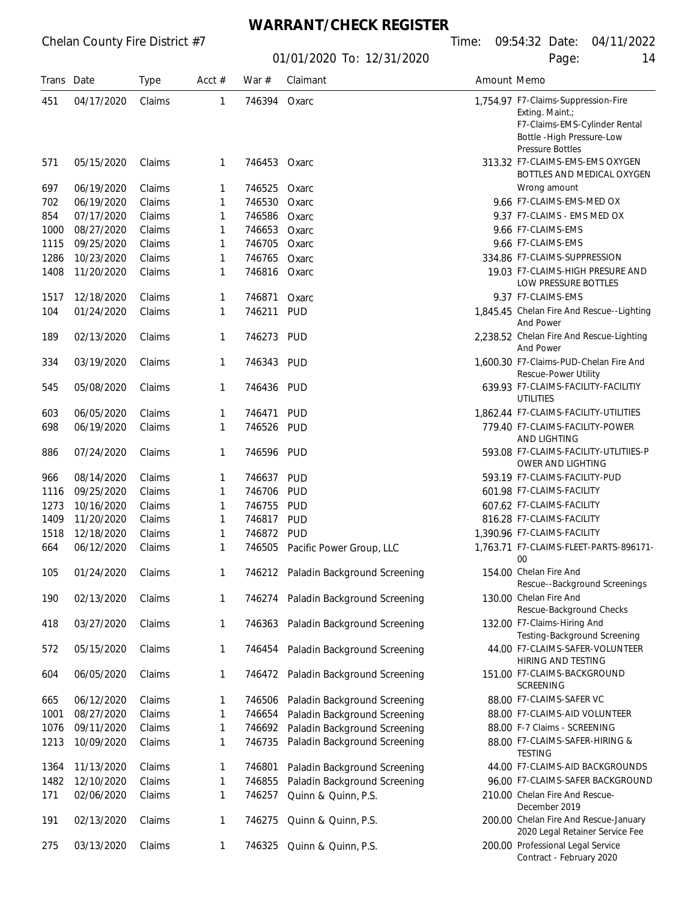#### **WARRANT/CHECK REGISTER**

| Trans Date |            | <b>Type</b> | Acct $#$ | War $#$      | Claimant                            | Amount Memo |                                                                                                                       |
|------------|------------|-------------|----------|--------------|-------------------------------------|-------------|-----------------------------------------------------------------------------------------------------------------------|
| 451        | 04/17/2020 | Claims      | 1        | 746394 Oxarc |                                     |             | 1,754.97 F7-Claims-Suppression-Fire<br>Exting. Maint.;<br>F7-Claims-EMS-Cylinder Rental<br>Bottle - High Pressure-Low |
| 571        | 05/15/2020 | Claims      | 1        | 746453 Oxarc |                                     |             | <b>Pressure Bottles</b><br>313.32 F7-CLAIMS-EMS-EMS OXYGEN<br>BOTTLES AND MEDICAL OXYGEN                              |
| 697        | 06/19/2020 | Claims      | 1        | 746525       | Oxarc                               |             | Wrong amount                                                                                                          |
| 702        | 06/19/2020 | Claims      | 1        | 746530       | Oxarc                               |             | 9.66 F7-CLAIMS-EMS-MED OX                                                                                             |
| 854        | 07/17/2020 | Claims      | 1        | 746586       | Oxarc                               |             | 9.37 F7-CLAIMS - EMS MED OX                                                                                           |
| 1000       | 08/27/2020 | Claims      | 1        | 746653       | Oxarc                               |             | 9.66 F7-CLAIMS-EMS                                                                                                    |
| 1115       | 09/25/2020 | Claims      | 1        | 746705       | Oxarc                               |             | 9.66 F7-CLAIMS-EMS                                                                                                    |
| 1286       | 10/23/2020 | Claims      | 1        | 746765       | Oxarc                               |             | 334.86 F7-CLAIMS-SUPPRESSION                                                                                          |
| 1408       | 11/20/2020 | Claims      | 1        | 746816       | Oxarc                               |             | 19.03 F7-CLAIMS-HIGH PRESURE AND<br>LOW PRESSURE BOTTLES                                                              |
| 1517       | 12/18/2020 | Claims      | 1        | 746871       | Oxarc                               |             | 9.37 F7-CLAIMS-EMS                                                                                                    |
| 104        | 01/24/2020 | Claims      | 1        | 746211       | <b>PUD</b>                          |             | 1,845.45 Chelan Fire And Rescue--Lighting<br>And Power                                                                |
| 189        | 02/13/2020 | Claims      | 1        | 746273       | PUD                                 |             | 2,238.52 Chelan Fire And Rescue-Lighting<br>And Power                                                                 |
| 334        | 03/19/2020 | Claims      | 1        | 746343       | PUD                                 |             | 1,600.30 F7-Claims-PUD-Chelan Fire And<br>Rescue-Power Utility                                                        |
| 545        | 05/08/2020 | Claims      | 1        | 746436       | PUD                                 |             | 639.93 F7-CLAIMS-FACILITY-FACILITIY<br><b>UTILITIES</b>                                                               |
| 603        | 06/05/2020 | Claims      | 1        | 746471       | <b>PUD</b>                          |             | 1,862.44 F7-CLAIMS-FACILITY-UTILITIES                                                                                 |
| 698        | 06/19/2020 | Claims      | 1        | 746526       | <b>PUD</b>                          |             | 779.40 F7-CLAIMS-FACILITY-POWER<br>AND LIGHTING                                                                       |
| 886        | 07/24/2020 | Claims      | 1        | 746596       | PUD                                 |             | 593.08 F7-CLAIMS-FACILITY-UTLITIIES-P<br>OWER AND LIGHTING                                                            |
| 966        | 08/14/2020 | Claims      | 1        | 746637       | <b>PUD</b>                          |             | 593.19 F7-CLAIMS-FACILITY-PUD                                                                                         |
| 1116       | 09/25/2020 | Claims      | 1        | 746706       | <b>PUD</b>                          |             | 601.98 F7-CLAIMS-FACILITY                                                                                             |
| 1273       | 10/16/2020 | Claims      | 1        | 746755       | <b>PUD</b>                          |             | 607.62 F7-CLAIMS-FACILITY                                                                                             |
| 1409       | 11/20/2020 | Claims      | 1        | 746817       | <b>PUD</b>                          |             | 816.28 F7-CLAIMS-FACILITY                                                                                             |
| 1518       | 12/18/2020 | Claims      | 1        | 746872       | <b>PUD</b>                          |             | 1,390.96 F7-CLAIMS-FACILITY                                                                                           |
| 664        | 06/12/2020 | Claims      | 1        | 746505       | Pacific Power Group, LLC            |             | 1,763.71 F7-CLAIMS-FLEET-PARTS-896171-<br>$00\,$                                                                      |
| 105        | 01/24/2020 | Claims      | 1        |              | 746212 Paladin Background Screening |             | 154.00 Chelan Fire And<br>Rescue--Background Screenings                                                               |
| 190        | 02/13/2020 | Claims      | 1        | 746274       | Paladin Background Screening        |             | 130.00 Chelan Fire And<br>Rescue-Background Checks                                                                    |
| 418        | 03/27/2020 | Claims      | 1        | 746363       | Paladin Background Screening        |             | 132.00 F7-Claims-Hiring And<br>Testing-Background Screening                                                           |
| 572        | 05/15/2020 | Claims      | 1        | 746454       | Paladin Background Screening        |             | 44.00 F7-CLAIMS-SAFER-VOLUNTEER<br>HIRING AND TESTING                                                                 |
| 604        | 06/05/2020 | Claims      | 1        | 746472       | Paladin Background Screening        |             | 151.00 F7-CLAIMS-BACKGROUND<br><b>SCREENING</b>                                                                       |
| 665        | 06/12/2020 | Claims      | 1        | 746506       | Paladin Background Screening        |             | 88.00 F7-CLAIMS-SAFER VC                                                                                              |
| 1001       | 08/27/2020 | Claims      | 1        | 746654       | Paladin Background Screening        |             | 88.00 F7-CLAIMS-AID VOLUNTEER                                                                                         |
| 1076       | 09/11/2020 | Claims      | 1        | 746692       | Paladin Background Screening        |             | 88.00 F-7 Claims - SCREENING                                                                                          |
| 1213       | 10/09/2020 | Claims      | 1        | 746735       | Paladin Background Screening        |             | 88.00 F7-CLAIMS-SAFER-HIRING &<br><b>TESTING</b>                                                                      |
| 1364       | 11/13/2020 | Claims      | 1        | 746801       | Paladin Background Screening        |             | 44.00 F7-CLAIMS-AID BACKGROUNDS                                                                                       |
| 1482       | 12/10/2020 | Claims      | 1        | 746855       | Paladin Background Screening        |             | 96.00 F7-CLAIMS-SAFER BACKGROUND                                                                                      |
| 171        | 02/06/2020 | Claims      | 1        | 746257       | Quinn & Quinn, P.S.                 |             | 210.00 Chelan Fire And Rescue-<br>December 2019                                                                       |
| 191        | 02/13/2020 | Claims      | 1        | 746275       | Quinn & Quinn, P.S.                 |             | 200.00 Chelan Fire And Rescue-January<br>2020 Legal Retainer Service Fee                                              |
| 275        | 03/13/2020 | Claims      | 1        | 746325       | Quinn & Quinn, P.S.                 |             | 200.00 Professional Legal Service<br>Contract - February 2020                                                         |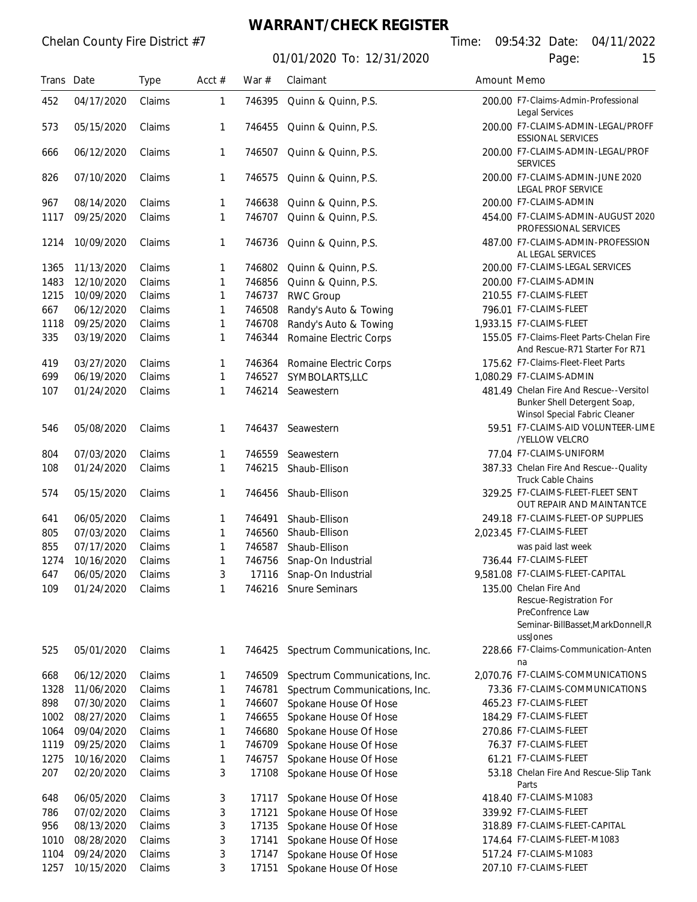## **WARRANT/CHECK REGISTER**

| Trans Date |            | <b>Type</b> | Acct $#$ | War $#$ | Claimant                      | Amount Memo                                           |                                                                                                             |  |
|------------|------------|-------------|----------|---------|-------------------------------|-------------------------------------------------------|-------------------------------------------------------------------------------------------------------------|--|
| 452        | 04/17/2020 | Claims      | 1        | 746395  | Quinn & Quinn, P.S.           | 200.00 F7-Claims-Admin-Professional<br>Legal Services |                                                                                                             |  |
| 573        | 05/15/2020 | Claims      | 1        | 746455  | Quinn & Quinn, P.S.           |                                                       | 200.00 F7-CLAIMS-ADMIN-LEGAL/PROFF<br><b>ESSIONAL SERVICES</b>                                              |  |
| 666        | 06/12/2020 | Claims      | 1        | 746507  | Quinn & Quinn, P.S.           |                                                       | 200.00 F7-CLAIMS-ADMIN-LEGAL/PROF<br><b>SERVICES</b>                                                        |  |
| 826        | 07/10/2020 | Claims      | 1        | 746575  | Quinn & Quinn, P.S.           |                                                       | 200.00 F7-CLAIMS-ADMIN-JUNE 2020<br>LEGAL PROF SERVICE                                                      |  |
| 967        | 08/14/2020 | Claims      | 1        | 746638  | Quinn & Quinn, P.S.           |                                                       | 200.00 F7-CLAIMS-ADMIN                                                                                      |  |
| 1117       | 09/25/2020 | Claims      | 1        | 746707  | Quinn & Quinn, P.S.           |                                                       | 454.00 F7-CLAIMS-ADMIN-AUGUST 2020<br>PROFESSIONAL SERVICES                                                 |  |
| 1214       | 10/09/2020 | Claims      | 1        | 746736  | Quinn & Quinn, P.S.           |                                                       | 487.00 F7-CLAIMS-ADMIN-PROFESSION<br>AL LEGAL SERVICES                                                      |  |
| 1365       | 11/13/2020 | Claims      | 1        | 746802  | Quinn & Quinn, P.S.           |                                                       | 200.00 F7-CLAIMS-LEGAL SERVICES                                                                             |  |
| 1483       | 12/10/2020 | Claims      | 1        | 746856  | Quinn & Quinn, P.S.           |                                                       | 200.00 F7-CLAIMS-ADMIN                                                                                      |  |
| 1215       | 10/09/2020 | Claims      | 1        | 746737  | <b>RWC Group</b>              |                                                       | 210.55 F7-CLAIMS-FLEET                                                                                      |  |
| 667        | 06/12/2020 | Claims      | 1        | 746508  | Randy's Auto & Towing         |                                                       | 796.01 F7-CLAIMS-FLEET                                                                                      |  |
| 1118       | 09/25/2020 | Claims      | 1        | 746708  | Randy's Auto & Towing         |                                                       | 1,933.15 F7-CLAIMS-FLEET                                                                                    |  |
| 335        | 03/19/2020 | Claims      | 1        | 746344  | Romaine Electric Corps        |                                                       | 155.05 F7-Claims-Fleet Parts-Chelan Fire                                                                    |  |
|            |            |             |          |         |                               |                                                       | And Rescue-R71 Starter For R71                                                                              |  |
| 419        | 03/27/2020 | Claims      | 1        | 746364  | Romaine Electric Corps        |                                                       | 175.62 F7-Claims-Fleet-Fleet Parts                                                                          |  |
| 699        | 06/19/2020 | Claims      | 1        | 746527  | SYMBOLARTS,LLC                |                                                       | 1,080.29 F7-CLAIMS-ADMIN                                                                                    |  |
| 107        | 01/24/2020 | Claims      | 1        | 746214  | Seawestern                    |                                                       | 481.49 Chelan Fire And Rescue--Versitol<br>Bunker Shell Detergent Soap,                                     |  |
| 546        | 05/08/2020 | Claims      | 1        | 746437  | Seawestern                    |                                                       | Winsol Special Fabric Cleaner<br>59.51 F7-CLAIMS-AID VOLUNTEER-LIME<br>/YELLOW VELCRO                       |  |
| 804        | 07/03/2020 | Claims      | 1        | 746559  | Seawestern                    |                                                       | 77.04 F7-CLAIMS-UNIFORM                                                                                     |  |
| 108        | 01/24/2020 | Claims      | 1        | 746215  | Shaub-Ellison                 |                                                       | 387.33 Chelan Fire And Rescue--Quality<br><b>Truck Cable Chains</b>                                         |  |
| 574        | 05/15/2020 | Claims      | 1        | 746456  | Shaub-Ellison                 |                                                       | 329.25 F7-CLAIMS-FLEET-FLEET SENT<br>OUT REPAIR AND MAINTANTCE                                              |  |
| 641        | 06/05/2020 | Claims      | 1        | 746491  | Shaub-Ellison                 |                                                       | 249.18 F7-CLAIMS-FLEET-OP SUPPLIES                                                                          |  |
| 805        | 07/03/2020 | Claims      | 1        | 746560  | Shaub-Ellison                 |                                                       | 2,023.45 F7-CLAIMS-FLEET                                                                                    |  |
| 855        | 07/17/2020 | Claims      | 1        | 746587  | Shaub-Ellison                 |                                                       | was paid last week                                                                                          |  |
| 1274       | 10/16/2020 | Claims      | 1        | 746756  | Snap-On Industrial            |                                                       | 736.44 F7-CLAIMS-FLEET                                                                                      |  |
| 647        | 06/05/2020 | Claims      | 3        | 17116   | Snap-On Industrial            |                                                       | 9,581.08 F7-CLAIMS-FLEET-CAPITAL                                                                            |  |
| 109        | 01/24/2020 | Claims      | 1        |         | 746216 Snure Seminars         |                                                       | 135.00 Chelan Fire And<br>Rescue-Registration For<br>PreConfrence Law<br>Seminar-BillBasset, MarkDonnell, R |  |
|            |            |             |          |         |                               |                                                       | ussJones                                                                                                    |  |
| 525        | 05/01/2020 | Claims      | 1        | 746425  | Spectrum Communications, Inc. |                                                       | 228.66 F7-Claims-Communication-Anten<br>na                                                                  |  |
| 668        | 06/12/2020 | Claims      | 1        | 746509  | Spectrum Communications, Inc. |                                                       | 2,070.76 F7-CLAIMS-COMMUNICATIONS                                                                           |  |
| 1328       | 11/06/2020 | Claims      | 1        | 746781  | Spectrum Communications, Inc. |                                                       | 73.36 F7-CLAIMS-COMMUNICATIONS                                                                              |  |
| 898        | 07/30/2020 | Claims      | 1        | 746607  | Spokane House Of Hose         |                                                       | 465.23 F7-CLAIMS-FLEET                                                                                      |  |
| 1002       | 08/27/2020 | Claims      | 1        | 746655  | Spokane House Of Hose         |                                                       | 184.29 F7-CLAIMS-FLEET                                                                                      |  |
| 1064       | 09/04/2020 | Claims      | 1        | 746680  | Spokane House Of Hose         |                                                       | 270.86 F7-CLAIMS-FLEET                                                                                      |  |
| 1119       | 09/25/2020 | Claims      | 1        | 746709  | Spokane House Of Hose         |                                                       | 76.37 F7-CLAIMS-FLEET                                                                                       |  |
| 1275       | 10/16/2020 | Claims      | 1        | 746757  | Spokane House Of Hose         |                                                       | 61.21 F7-CLAIMS-FLEET                                                                                       |  |
| 207        | 02/20/2020 | Claims      | 3        | 17108   | Spokane House Of Hose         |                                                       | 53.18 Chelan Fire And Rescue-Slip Tank<br>Parts                                                             |  |
| 648        | 06/05/2020 | Claims      | 3        | 17117   | Spokane House Of Hose         |                                                       | 418.40 F7-CLAIMS-M1083                                                                                      |  |
| 786        | 07/02/2020 | Claims      | 3        | 17121   | Spokane House Of Hose         |                                                       | 339.92 F7-CLAIMS-FLEET                                                                                      |  |
| 956        | 08/13/2020 | Claims      | 3        | 17135   | Spokane House Of Hose         |                                                       | 318.89 F7-CLAIMS-FLEET-CAPITAL                                                                              |  |
| 1010       | 08/28/2020 | Claims      | 3        | 17141   | Spokane House Of Hose         |                                                       | 174.64 F7-CLAIMS-FLEET-M1083                                                                                |  |
| 1104       | 09/24/2020 | Claims      | 3        | 17147   | Spokane House Of Hose         |                                                       | 517.24 F7-CLAIMS-M1083                                                                                      |  |
| 1257       | 10/15/2020 | Claims      | 3        | 17151   | Spokane House Of Hose         |                                                       | 207.10 F7-CLAIMS-FLEET                                                                                      |  |
|            |            |             |          |         |                               |                                                       |                                                                                                             |  |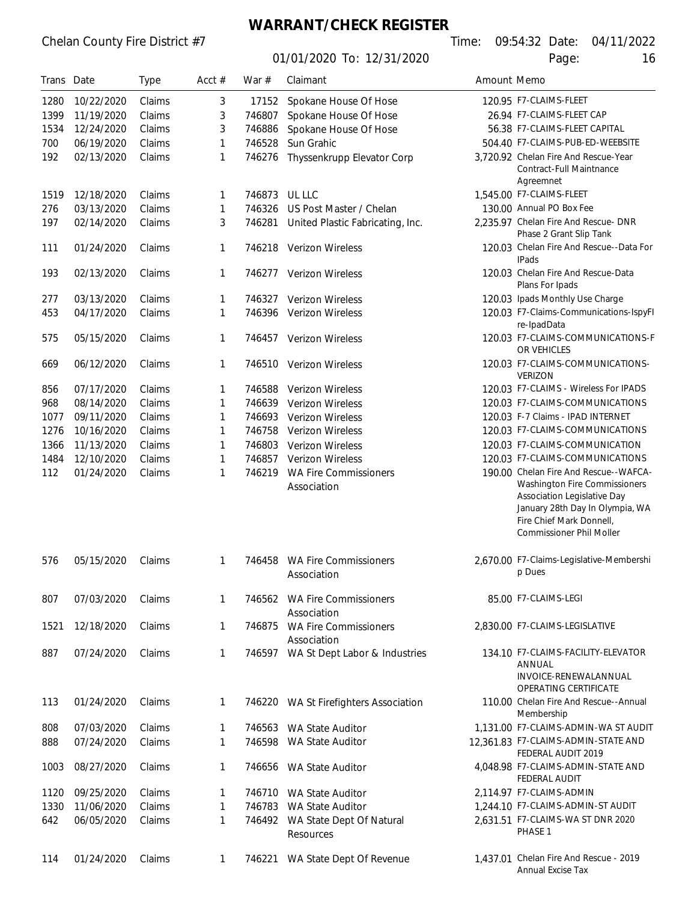## **WARRANT/CHECK REGISTER**

01/01/2020 To: 12/31/2020 Page:

Annual Excise Tax

| Trans Date |            | <b>Type</b> | Acct $#$     | War $#$ | Claimant                                     | Amount Memo |                                                                                                                                                                                                         |
|------------|------------|-------------|--------------|---------|----------------------------------------------|-------------|---------------------------------------------------------------------------------------------------------------------------------------------------------------------------------------------------------|
| 1280       | 10/22/2020 | Claims      | 3            | 17152   | Spokane House Of Hose                        |             | 120.95 F7-CLAIMS-FLEET                                                                                                                                                                                  |
| 1399       | 11/19/2020 | Claims      | 3            | 746807  | Spokane House Of Hose                        |             | 26.94 F7-CLAIMS-FLEET CAP                                                                                                                                                                               |
| 1534       | 12/24/2020 | Claims      | 3            | 746886  | Spokane House Of Hose                        |             | 56.38 F7-CLAIMS-FLEET CAPITAL                                                                                                                                                                           |
| 700        | 06/19/2020 | Claims      | 1            | 746528  | Sun Grahic                                   |             | 504.40 F7-CLAIMS-PUB-ED-WEEBSITE                                                                                                                                                                        |
| 192        | 02/13/2020 | Claims      | 1            | 746276  | Thyssenkrupp Elevator Corp                   |             | 3.720.92 Chelan Fire And Rescue-Year<br>Contract-Full Maintnance<br>Agreemnet                                                                                                                           |
| 1519       | 12/18/2020 | Claims      | 1            | 746873  | UL LLC                                       |             | 1,545.00 F7-CLAIMS-FLEET                                                                                                                                                                                |
| 276        | 03/13/2020 | Claims      | 1            | 746326  | US Post Master / Chelan                      |             | 130.00 Annual PO Box Fee                                                                                                                                                                                |
| 197        | 02/14/2020 | Claims      | 3            | 746281  | United Plastic Fabricating, Inc.             |             | 2,235.97 Chelan Fire And Rescue- DNR<br>Phase 2 Grant Slip Tank                                                                                                                                         |
| 111        | 01/24/2020 | Claims      | $\mathbf{1}$ | 746218  | Verizon Wireless                             |             | 120.03 Chelan Fire And Rescue--Data For<br><b>IPads</b>                                                                                                                                                 |
| 193        | 02/13/2020 | Claims      | 1            | 746277  | Verizon Wireless                             |             | 120.03 Chelan Fire And Rescue-Data<br>Plans For Ipads                                                                                                                                                   |
| 277        | 03/13/2020 | Claims      | 1            | 746327  | Verizon Wireless                             |             | 120.03 Ipads Monthly Use Charge                                                                                                                                                                         |
| 453        | 04/17/2020 | Claims      | 1            | 746396  | Verizon Wireless                             |             | 120.03 F7-Claims-Communications-IspyFI<br>re-IpadData                                                                                                                                                   |
| 575        | 05/15/2020 | Claims      | 1            | 746457  | <b>Verizon Wireless</b>                      |             | 120.03 F7-CLAIMS-COMMUNICATIONS-F<br>OR VEHICLES                                                                                                                                                        |
| 669        | 06/12/2020 | Claims      | 1            | 746510  | Verizon Wireless                             |             | 120.03 F7-CLAIMS-COMMUNICATIONS-<br><b>VERIZON</b>                                                                                                                                                      |
| 856        | 07/17/2020 | Claims      | 1            | 746588  | <b>Verizon Wireless</b>                      |             | 120.03 F7-CLAIMS - Wireless For IPADS                                                                                                                                                                   |
| 968        | 08/14/2020 | Claims      | 1            | 746639  | Verizon Wireless                             |             | 120.03 F7-CLAIMS-COMMUNICATIONS                                                                                                                                                                         |
| 1077       | 09/11/2020 | Claims      | 1            | 746693  | Verizon Wireless                             |             | 120.03 F-7 Claims - IPAD INTERNET                                                                                                                                                                       |
| 1276       | 10/16/2020 | Claims      | 1            | 746758  | Verizon Wireless                             |             | 120.03 F7-CLAIMS-COMMUNICATIONS                                                                                                                                                                         |
| 1366       | 11/13/2020 | Claims      | 1            | 746803  | Verizon Wireless                             |             | 120.03 F7-CLAIMS-COMMUNICATION                                                                                                                                                                          |
| 1484       | 12/10/2020 | Claims      | 1            | 746857  | Verizon Wireless                             |             | 120.03 F7-CLAIMS-COMMUNICATIONS                                                                                                                                                                         |
| 112        | 01/24/2020 | Claims      | 1            | 746219  | <b>WA Fire Commissioners</b><br>Association  |             | 190.00 Chelan Fire And Rescue--WAFCA-<br>Washington Fire Commissioners<br>Association Legislative Day<br>January 28th Day In Olympia, WA<br>Fire Chief Mark Donnell,<br><b>Commissioner Phil Moller</b> |
| 576        | 05/15/2020 | Claims      | 1            | 746458  | <b>WA Fire Commissioners</b><br>Association  |             | 2,670.00 F7-Claims-Legislative-Membershi<br>p Dues                                                                                                                                                      |
| 807        | 07/03/2020 | Claims      | 1            |         | 746562 WA Fire Commissioners<br>Association  |             | 85.00 F7-CLAIMS-LEGI                                                                                                                                                                                    |
| 1521       | 12/18/2020 | Claims      | 1            | 746875  | <b>WA Fire Commissioners</b><br>Association  |             | 2,830.00 F7-CLAIMS-LEGISLATIVE                                                                                                                                                                          |
| 887        | 07/24/2020 | Claims      | 1            |         | 746597 WA St Dept Labor & Industries         |             | 134.10 F7-CLAIMS-FACILITY-ELEVATOR<br>ANNUAL<br>INVOICE-RENEWALANNUAL<br>OPERATING CERTIFICATE                                                                                                          |
| 113        | 01/24/2020 | Claims      | 1            |         | 746220 WA St Firefighters Association        |             | 110.00 Chelan Fire And Rescue--Annual<br>Membership                                                                                                                                                     |
| 808        | 07/03/2020 | Claims      | 1            |         | 746563 WA State Auditor                      |             | 1,131.00 F7-CLAIMS-ADMIN-WA ST AUDIT                                                                                                                                                                    |
| 888        | 07/24/2020 | Claims      | 1            | 746598  | WA State Auditor                             |             | 12,361.83 F7-CLAIMS-ADMIN-STATE AND<br>FEDERAL AUDIT 2019                                                                                                                                               |
| 1003       | 08/27/2020 | Claims      | 1            |         | 746656 WA State Auditor                      |             | 4.048.98 F7-CLAIMS-ADMIN-STATE AND<br>FEDERAL AUDIT                                                                                                                                                     |
| 1120       | 09/25/2020 | Claims      | 1            |         | 746710 WA State Auditor                      |             | 2,114.97 F7-CLAIMS-ADMIN                                                                                                                                                                                |
| 1330       | 11/06/2020 | Claims      | 1            | 746783  | WA State Auditor                             |             | 1.244.10 F7-CLAIMS-ADMIN-ST AUDIT                                                                                                                                                                       |
| 642        | 06/05/2020 | Claims      | 1            |         | 746492 WA State Dept Of Natural<br>Resources |             | 2,631.51 F7-CLAIMS-WA ST DNR 2020<br>PHASE 1                                                                                                                                                            |
| 114        | 01/24/2020 | Claims      | 1            |         | 746221 WA State Dept Of Revenue              |             | 1,437.01 Chelan Fire And Rescue - 2019                                                                                                                                                                  |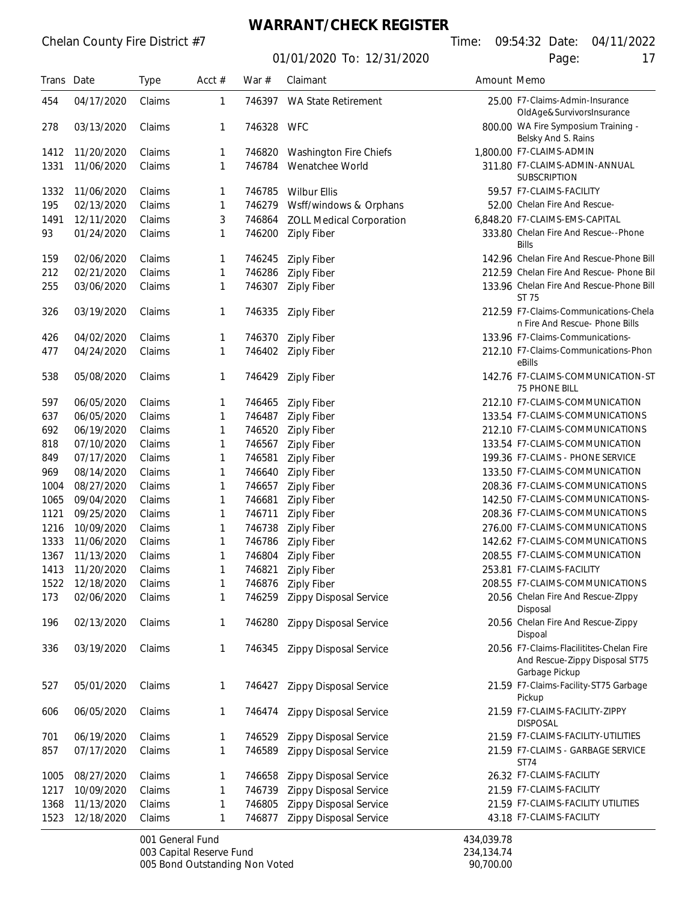### **WARRANT/CHECK REGISTER**

01/01/2020 To: 12/31/2020 Page:

| Trans Date |            | <b>Type</b> | Acct $#$ | War $#$    | Claimant                        | Amount Memo                     |                                                                                              |
|------------|------------|-------------|----------|------------|---------------------------------|---------------------------------|----------------------------------------------------------------------------------------------|
| 454        | 04/17/2020 | Claims      | 1        | 746397     | WA State Retirement             | 25.00 F7-Claims-Admin-Insurance |                                                                                              |
| 278        | 03/13/2020 | Claims      | 1        | 746328 WFC |                                 |                                 | OldAge&SurvivorsInsurance<br>800.00 WA Fire Symposium Training -<br>Belsky And S. Rains      |
| 1412       | 11/20/2020 | Claims      | 1        | 746820     | Washington Fire Chiefs          |                                 | 1,800.00 F7-CLAIMS-ADMIN                                                                     |
| 1331       | 11/06/2020 | Claims      | 1        | 746784     | Wenatchee World                 |                                 | 311.80 F7-CLAIMS-ADMIN-ANNUAL<br><b>SUBSCRIPTION</b>                                         |
| 1332       | 11/06/2020 | Claims      | 1        | 746785     | <b>Wilbur Ellis</b>             |                                 | 59.57 F7-CLAIMS-FACILITY                                                                     |
| 195        | 02/13/2020 | Claims      | 1        | 746279     | Wsff/windows & Orphans          |                                 | 52.00 Chelan Fire And Rescue-                                                                |
| 1491       | 12/11/2020 | Claims      | 3        | 746864     | <b>ZOLL Medical Corporation</b> |                                 | 6,848.20 F7-CLAIMS-EMS-CAPITAL                                                               |
| 93         | 01/24/2020 | Claims      | 1        | 746200     | <b>Ziply Fiber</b>              |                                 | 333.80 Chelan Fire And Rescue--Phone<br><b>Bills</b>                                         |
| 159        | 02/06/2020 | Claims      | 1        | 746245     | <b>Ziply Fiber</b>              |                                 | 142.96 Chelan Fire And Rescue-Phone Bill                                                     |
| 212        | 02/21/2020 | Claims      | 1        | 746286     | <b>Ziply Fiber</b>              |                                 | 212.59 Chelan Fire And Rescue- Phone Bil                                                     |
| 255        | 03/06/2020 | Claims      | 1        | 746307     | <b>Ziply Fiber</b>              |                                 | 133.96 Chelan Fire And Rescue-Phone Bill<br>ST 75                                            |
| 326        | 03/19/2020 | Claims      | 1        | 746335     | <b>Ziply Fiber</b>              |                                 | 212.59 F7-Claims-Communications-Chela<br>n Fire And Rescue- Phone Bills                      |
| 426        | 04/02/2020 | Claims      | 1        | 746370     | <b>Ziply Fiber</b>              |                                 | 133.96 F7-Claims-Communications-                                                             |
| 477        | 04/24/2020 | Claims      | 1        | 746402     | <b>Ziply Fiber</b>              |                                 | 212.10 F7-Claims-Communications-Phon<br>eBills                                               |
| 538        | 05/08/2020 | Claims      | 1        | 746429     | Ziply Fiber                     |                                 | 142.76 F7-CLAIMS-COMMUNICATION-ST<br>75 PHONE BILL                                           |
| 597        | 06/05/2020 | Claims      | 1        | 746465     | <b>Ziply Fiber</b>              |                                 | 212.10 F7-CLAIMS-COMMUNICATION                                                               |
| 637        | 06/05/2020 | Claims      | 1        | 746487     | <b>Ziply Fiber</b>              |                                 | 133.54 F7-CLAIMS-COMMUNICATIONS                                                              |
| 692        | 06/19/2020 | Claims      | 1        | 746520     | <b>Ziply Fiber</b>              |                                 | 212.10 F7-CLAIMS-COMMUNICATIONS                                                              |
| 818        | 07/10/2020 | Claims      | 1        | 746567     | <b>Ziply Fiber</b>              |                                 | 133.54 F7-CLAIMS-COMMUNICATION                                                               |
| 849        | 07/17/2020 | Claims      | 1        | 746581     | <b>Ziply Fiber</b>              |                                 | 199.36 F7-CLAIMS - PHONE SERVICE                                                             |
| 969        | 08/14/2020 | Claims      | 1        | 746640     | <b>Ziply Fiber</b>              |                                 | 133.50 F7-CLAIMS-COMMUNICATION                                                               |
| 1004       | 08/27/2020 | Claims      | 1        | 746657     | <b>Ziply Fiber</b>              |                                 | 208.36 F7-CLAIMS-COMMUNICATIONS                                                              |
| 1065       | 09/04/2020 | Claims      | 1        | 746681     | <b>Ziply Fiber</b>              |                                 | 142.50 F7-CLAIMS-COMMUNICATIONS-                                                             |
| 1121       | 09/25/2020 | Claims      | 1        | 746711     | <b>Ziply Fiber</b>              |                                 | 208.36 F7-CLAIMS-COMMUNICATIONS                                                              |
| 1216       | 10/09/2020 | Claims      | 1        | 746738     | <b>Ziply Fiber</b>              |                                 | 276.00 F7-CLAIMS-COMMUNICATIONS                                                              |
| 1333       | 11/06/2020 | Claims      | 1        | 746786     | <b>Ziply Fiber</b>              |                                 | 142.62 F7-CLAIMS-COMMUNICATIONS                                                              |
| 1367       | 11/13/2020 | Claims      | 1        | 746804     | <b>Ziply Fiber</b>              |                                 | 208.55 F7-CLAIMS-COMMUNICATION                                                               |
| 1413       | 11/20/2020 | Claims      | 1        | 746821     | <b>Ziply Fiber</b>              |                                 | 253.81 F7-CLAIMS-FACILITY                                                                    |
| 1522       | 12/18/2020 | Claims      | 1        | 746876     | <b>Ziply Fiber</b>              |                                 | 208.55 F7-CLAIMS-COMMUNICATIONS                                                              |
| 173        | 02/06/2020 | Claims      | 1        | 746259     | <b>Zippy Disposal Service</b>   |                                 | 20.56 Chelan Fire And Rescue-ZIppy<br>Disposal                                               |
| 196        | 02/13/2020 | Claims      | 1        | 746280     | <b>Zippy Disposal Service</b>   |                                 | 20.56 Chelan Fire And Rescue-Zippy<br>Dispoal                                                |
| 336        | 03/19/2020 | Claims      | 1        | 746345     | Zippy Disposal Service          |                                 | 20.56 F7-Claims-Flacilitites-Chelan Fire<br>And Rescue-Zippy Disposal ST75<br>Garbage Pickup |
| 527        | 05/01/2020 | Claims      | 1        | 746427     | Zippy Disposal Service          |                                 | 21.59 F7-Claims-Facility-ST75 Garbage<br>Pickup                                              |
| 606        | 06/05/2020 | Claims      | 1        | 746474     | <b>Zippy Disposal Service</b>   |                                 | 21.59 F7-CLAIMS-FACILITY-ZIPPY<br><b>DISPOSAL</b>                                            |
| 701        | 06/19/2020 | Claims      | 1        | 746529     | Zippy Disposal Service          |                                 | 21.59 F7-CLAIMS-FACILITY-UTILITIES                                                           |
| 857        | 07/17/2020 | Claims      | 1        | 746589     | Zippy Disposal Service          |                                 | 21.59 F7-CLAIMS - GARBAGE SERVICE<br>ST74                                                    |
| 1005       | 08/27/2020 | Claims      | 1        | 746658     | Zippy Disposal Service          |                                 | 26.32 F7-CLAIMS-FACILITY                                                                     |
| 1217       | 10/09/2020 | Claims      | 1        | 746739     | Zippy Disposal Service          |                                 | 21.59 F7-CLAIMS-FACILITY                                                                     |
| 1368       | 11/13/2020 | Claims      | 1        | 746805     | Zippy Disposal Service          |                                 | 21.59 F7-CLAIMS-FACILITY UTILITIES                                                           |
| 1523       | 12/18/2020 | Claims      | 1        | 746877     | Zippy Disposal Service          | 43.18 F7-CLAIMS-FACILITY        |                                                                                              |

001 General Fund<br>
003 Capital Reserve Fund<br>
234,134.74 003 Capital Reserve Fund<br>005 Bond Outstanding Non Voted<br>005 Bond Outstanding Non Voted 005 Bond Outstanding Non Voted